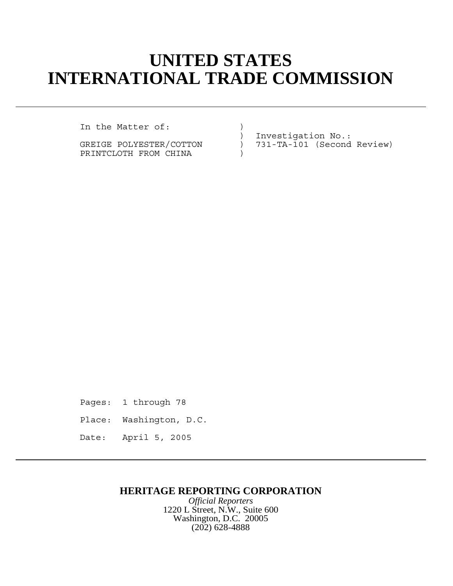## **UNITED STATES INTERNATIONAL TRADE COMMISSION**

In the Matter of: (1)

PRINTCLOTH FROM CHINA )

) Investigation No.: GREIGE POLYESTER/COTTON ) 731-TA-101 (Second Review)

Pages: 1 through 78

- Place: Washington, D.C.
- Date: April 5, 2005

## **HERITAGE REPORTING CORPORATION**

*Official Reporters* 1220 L Street, N.W., Suite 600 Washington, D.C. 20005 (202) 628-4888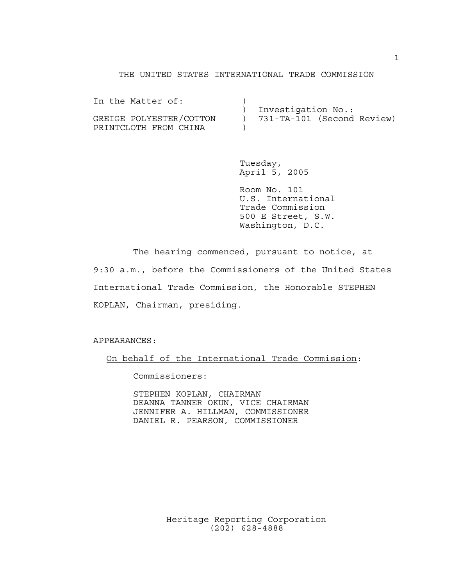## THE UNITED STATES INTERNATIONAL TRADE COMMISSION

| In the Matter of:       |                    |                            |
|-------------------------|--------------------|----------------------------|
|                         | Investigation No.: |                            |
| GREIGE POLYESTER/COTTON |                    | 731-TA-101 (Second Review) |
| PRINTCLOTH FROM CHINA   |                    |                            |

Tuesday, April 5, 2005

Room No. 101 U.S. International Trade Commission 500 E Street, S.W. Washington, D.C.

The hearing commenced, pursuant to notice, at 9:30 a.m., before the Commissioners of the United States International Trade Commission, the Honorable STEPHEN KOPLAN, Chairman, presiding.

APPEARANCES:

On behalf of the International Trade Commission:

Commissioners:

STEPHEN KOPLAN, CHAIRMAN DEANNA TANNER OKUN, VICE CHAIRMAN JENNIFER A. HILLMAN, COMMISSIONER DANIEL R. PEARSON, COMMISSIONER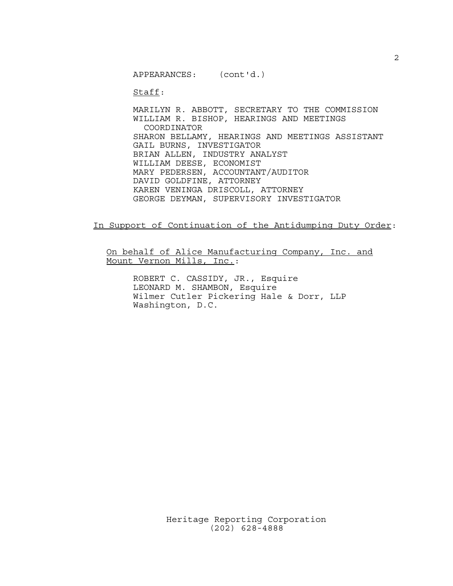APPEARANCES: (cont'd.)

Staff:

MARILYN R. ABBOTT, SECRETARY TO THE COMMISSION WILLIAM R. BISHOP, HEARINGS AND MEETINGS COORDINATOR SHARON BELLAMY, HEARINGS AND MEETINGS ASSISTANT GAIL BURNS, INVESTIGATOR BRIAN ALLEN, INDUSTRY ANALYST WILLIAM DEESE, ECONOMIST MARY PEDERSEN, ACCOUNTANT/AUDITOR DAVID GOLDFINE, ATTORNEY KAREN VENINGA DRISCOLL, ATTORNEY GEORGE DEYMAN, SUPERVISORY INVESTIGATOR

In Support of Continuation of the Antidumping Duty Order:

On behalf of Alice Manufacturing Company, Inc. and Mount Vernon Mills, Inc.:

ROBERT C. CASSIDY, JR., Esquire LEONARD M. SHAMBON, Esquire Wilmer Cutler Pickering Hale & Dorr, LLP Washington, D.C.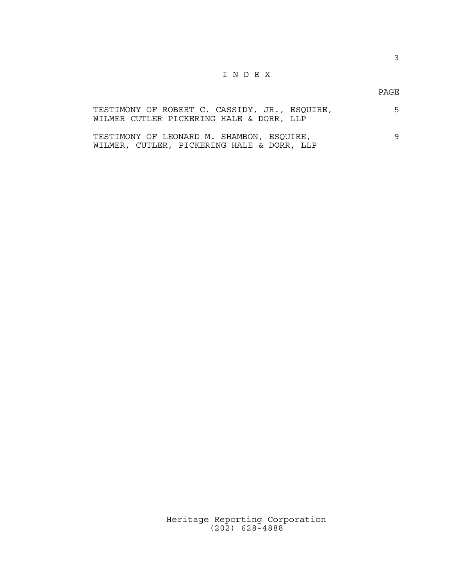## I N D E X

PAGE

| TESTIMONY OF ROBERT C. CASSIDY, JR., ESQUIRE, |  |  | 5. |
|-----------------------------------------------|--|--|----|
| WILMER CUTLER PICKERING HALE & DORR, LLP      |  |  |    |
|                                               |  |  |    |
| TESTIMONY OF LEONARD M. SHAMBON, ESOUIRE,     |  |  | 9  |
| WILMER, CUTLER, PICKERING HALE & DORR, LLP    |  |  |    |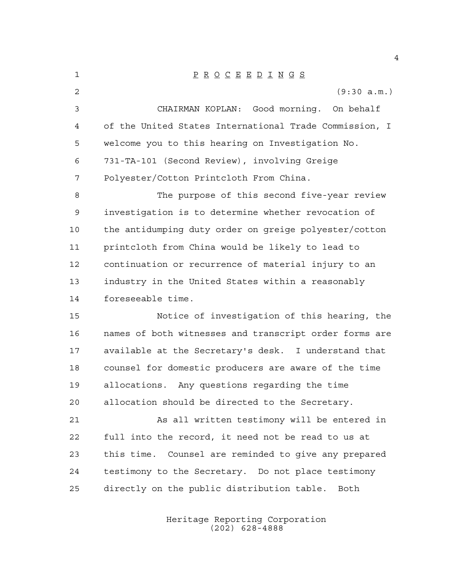P R O C E E D I N G S (9:30 a.m.) CHAIRMAN KOPLAN: Good morning. On behalf of the United States International Trade Commission, I welcome you to this hearing on Investigation No. 731-TA-101 (Second Review), involving Greige Polyester/Cotton Printcloth From China. 8 The purpose of this second five-year review investigation is to determine whether revocation of the antidumping duty order on greige polyester/cotton printcloth from China would be likely to lead to continuation or recurrence of material injury to an industry in the United States within a reasonably foreseeable time. Notice of investigation of this hearing, the names of both witnesses and transcript order forms are available at the Secretary's desk. I understand that counsel for domestic producers are aware of the time allocations. Any questions regarding the time allocation should be directed to the Secretary. As all written testimony will be entered in full into the record, it need not be read to us at this time. Counsel are reminded to give any prepared testimony to the Secretary. Do not place testimony directly on the public distribution table. Both

> Heritage Reporting Corporation (202) 628-4888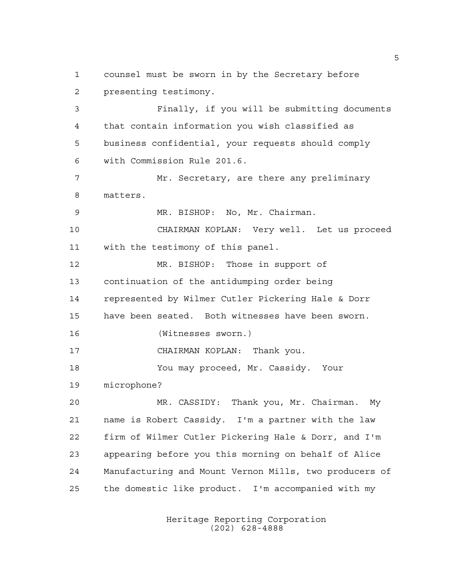counsel must be sworn in by the Secretary before presenting testimony. Finally, if you will be submitting documents that contain information you wish classified as business confidential, your requests should comply with Commission Rule 201.6. Mr. Secretary, are there any preliminary matters. MR. BISHOP: No, Mr. Chairman. CHAIRMAN KOPLAN: Very well. Let us proceed with the testimony of this panel. MR. BISHOP: Those in support of continuation of the antidumping order being represented by Wilmer Cutler Pickering Hale & Dorr have been seated. Both witnesses have been sworn. (Witnesses sworn.) CHAIRMAN KOPLAN: Thank you. You may proceed, Mr. Cassidy. Your microphone? MR. CASSIDY: Thank you, Mr. Chairman. My name is Robert Cassidy. I'm a partner with the law firm of Wilmer Cutler Pickering Hale & Dorr, and I'm appearing before you this morning on behalf of Alice Manufacturing and Mount Vernon Mills, two producers of the domestic like product. I'm accompanied with my

> Heritage Reporting Corporation (202) 628-4888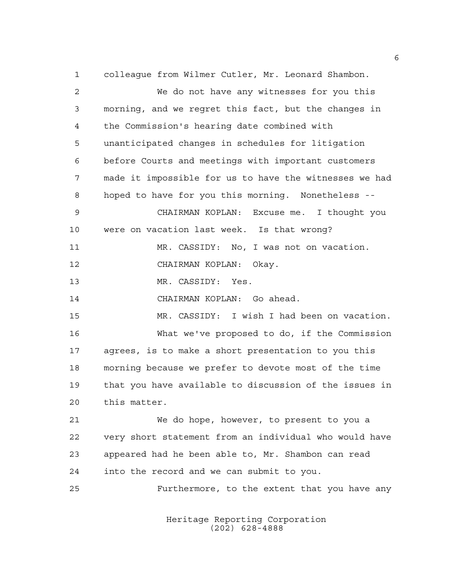colleague from Wilmer Cutler, Mr. Leonard Shambon. We do not have any witnesses for you this morning, and we regret this fact, but the changes in the Commission's hearing date combined with unanticipated changes in schedules for litigation before Courts and meetings with important customers made it impossible for us to have the witnesses we had hoped to have for you this morning. Nonetheless -- CHAIRMAN KOPLAN: Excuse me. I thought you were on vacation last week. Is that wrong? MR. CASSIDY: No, I was not on vacation. CHAIRMAN KOPLAN: Okay. MR. CASSIDY: Yes. CHAIRMAN KOPLAN: Go ahead. MR. CASSIDY: I wish I had been on vacation. What we've proposed to do, if the Commission agrees, is to make a short presentation to you this morning because we prefer to devote most of the time that you have available to discussion of the issues in this matter. We do hope, however, to present to you a very short statement from an individual who would have appeared had he been able to, Mr. Shambon can read into the record and we can submit to you. Furthermore, to the extent that you have any

> Heritage Reporting Corporation (202) 628-4888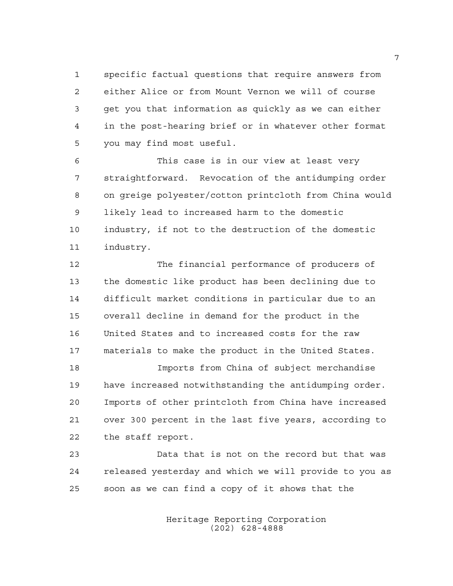specific factual questions that require answers from either Alice or from Mount Vernon we will of course get you that information as quickly as we can either in the post-hearing brief or in whatever other format you may find most useful.

 This case is in our view at least very straightforward. Revocation of the antidumping order on greige polyester/cotton printcloth from China would likely lead to increased harm to the domestic industry, if not to the destruction of the domestic industry.

 The financial performance of producers of the domestic like product has been declining due to difficult market conditions in particular due to an overall decline in demand for the product in the United States and to increased costs for the raw materials to make the product in the United States.

 Imports from China of subject merchandise have increased notwithstanding the antidumping order. Imports of other printcloth from China have increased over 300 percent in the last five years, according to the staff report.

 Data that is not on the record but that was released yesterday and which we will provide to you as soon as we can find a copy of it shows that the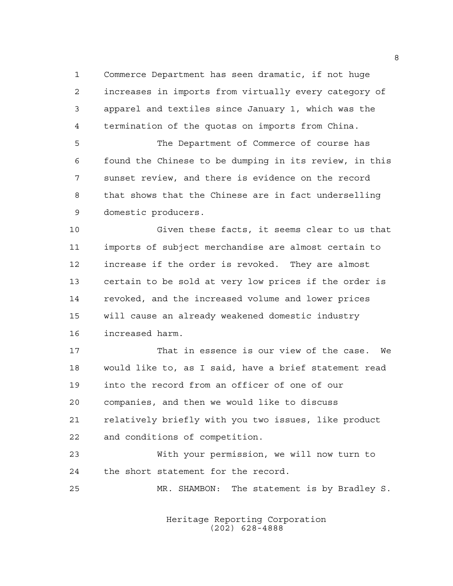Commerce Department has seen dramatic, if not huge increases in imports from virtually every category of apparel and textiles since January 1, which was the termination of the quotas on imports from China.

 The Department of Commerce of course has found the Chinese to be dumping in its review, in this sunset review, and there is evidence on the record that shows that the Chinese are in fact underselling domestic producers.

 Given these facts, it seems clear to us that imports of subject merchandise are almost certain to increase if the order is revoked. They are almost certain to be sold at very low prices if the order is revoked, and the increased volume and lower prices will cause an already weakened domestic industry increased harm.

 That in essence is our view of the case. We would like to, as I said, have a brief statement read into the record from an officer of one of our companies, and then we would like to discuss relatively briefly with you two issues, like product and conditions of competition.

 With your permission, we will now turn to the short statement for the record.

MR. SHAMBON: The statement is by Bradley S.

Heritage Reporting Corporation (202) 628-4888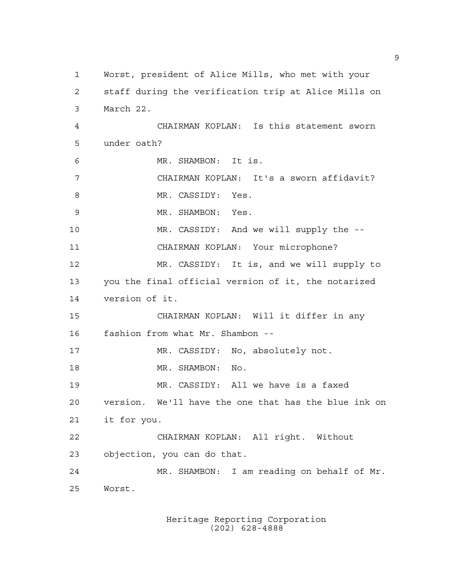Worst, president of Alice Mills, who met with your staff during the verification trip at Alice Mills on March 22. CHAIRMAN KOPLAN: Is this statement sworn under oath? MR. SHAMBON: It is. CHAIRMAN KOPLAN: It's a sworn affidavit? 8 MR. CASSIDY: Yes. MR. SHAMBON: Yes. MR. CASSIDY: And we will supply the -- CHAIRMAN KOPLAN: Your microphone? MR. CASSIDY: It is, and we will supply to you the final official version of it, the notarized version of it. CHAIRMAN KOPLAN: Will it differ in any fashion from what Mr. Shambon -- MR. CASSIDY: No, absolutely not. 18 MR. SHAMBON: No. MR. CASSIDY: All we have is a faxed version. We'll have the one that has the blue ink on it for you. CHAIRMAN KOPLAN: All right. Without objection, you can do that. MR. SHAMBON: I am reading on behalf of Mr. Worst.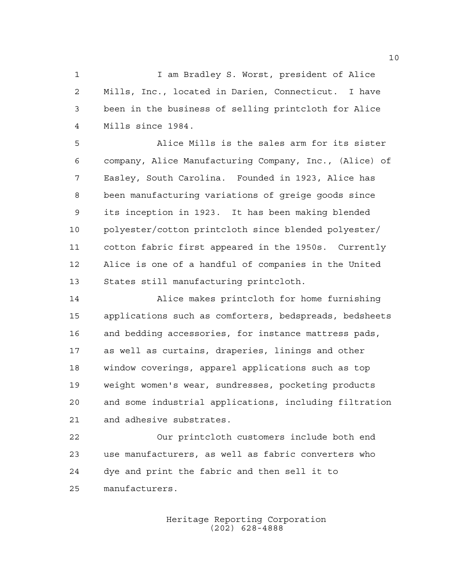1 1 I am Bradley S. Worst, president of Alice Mills, Inc., located in Darien, Connecticut. I have been in the business of selling printcloth for Alice Mills since 1984.

 Alice Mills is the sales arm for its sister company, Alice Manufacturing Company, Inc., (Alice) of Easley, South Carolina. Founded in 1923, Alice has been manufacturing variations of greige goods since its inception in 1923. It has been making blended polyester/cotton printcloth since blended polyester/ cotton fabric first appeared in the 1950s. Currently Alice is one of a handful of companies in the United States still manufacturing printcloth.

 Alice makes printcloth for home furnishing applications such as comforters, bedspreads, bedsheets and bedding accessories, for instance mattress pads, as well as curtains, draperies, linings and other window coverings, apparel applications such as top weight women's wear, sundresses, pocketing products and some industrial applications, including filtration and adhesive substrates.

 Our printcloth customers include both end use manufacturers, as well as fabric converters who dye and print the fabric and then sell it to manufacturers.

> Heritage Reporting Corporation (202) 628-4888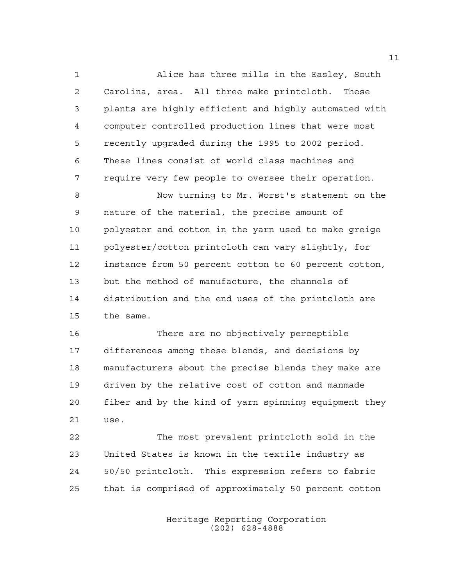Alice has three mills in the Easley, South Carolina, area. All three make printcloth. These plants are highly efficient and highly automated with computer controlled production lines that were most recently upgraded during the 1995 to 2002 period. These lines consist of world class machines and require very few people to oversee their operation.

 Now turning to Mr. Worst's statement on the nature of the material, the precise amount of polyester and cotton in the yarn used to make greige polyester/cotton printcloth can vary slightly, for instance from 50 percent cotton to 60 percent cotton, but the method of manufacture, the channels of distribution and the end uses of the printcloth are the same.

 There are no objectively perceptible differences among these blends, and decisions by manufacturers about the precise blends they make are driven by the relative cost of cotton and manmade fiber and by the kind of yarn spinning equipment they use.

 The most prevalent printcloth sold in the United States is known in the textile industry as 50/50 printcloth. This expression refers to fabric that is comprised of approximately 50 percent cotton

> Heritage Reporting Corporation (202) 628-4888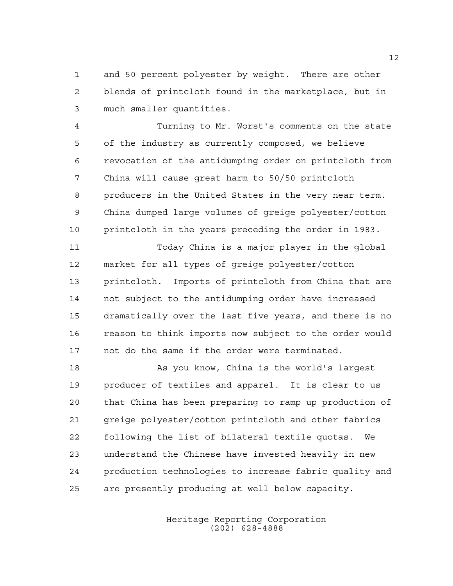and 50 percent polyester by weight. There are other blends of printcloth found in the marketplace, but in much smaller quantities.

 Turning to Mr. Worst's comments on the state of the industry as currently composed, we believe revocation of the antidumping order on printcloth from China will cause great harm to 50/50 printcloth producers in the United States in the very near term. China dumped large volumes of greige polyester/cotton printcloth in the years preceding the order in 1983.

 Today China is a major player in the global market for all types of greige polyester/cotton printcloth. Imports of printcloth from China that are not subject to the antidumping order have increased dramatically over the last five years, and there is no reason to think imports now subject to the order would not do the same if the order were terminated.

 As you know, China is the world's largest producer of textiles and apparel. It is clear to us that China has been preparing to ramp up production of greige polyester/cotton printcloth and other fabrics following the list of bilateral textile quotas. We understand the Chinese have invested heavily in new production technologies to increase fabric quality and are presently producing at well below capacity.

> Heritage Reporting Corporation (202) 628-4888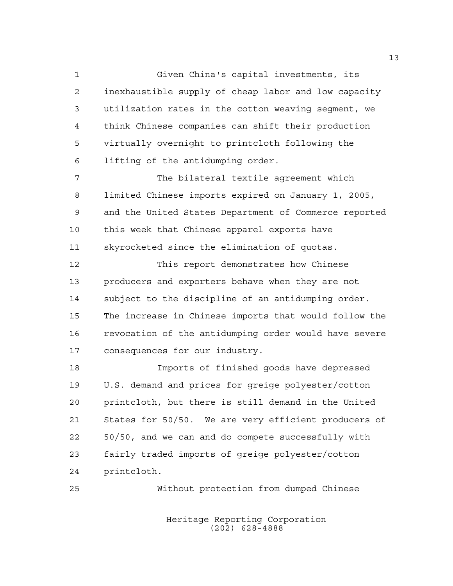Given China's capital investments, its inexhaustible supply of cheap labor and low capacity utilization rates in the cotton weaving segment, we think Chinese companies can shift their production virtually overnight to printcloth following the lifting of the antidumping order.

 The bilateral textile agreement which limited Chinese imports expired on January 1, 2005, and the United States Department of Commerce reported this week that Chinese apparel exports have skyrocketed since the elimination of quotas.

 This report demonstrates how Chinese producers and exporters behave when they are not subject to the discipline of an antidumping order. The increase in Chinese imports that would follow the revocation of the antidumping order would have severe consequences for our industry.

 Imports of finished goods have depressed U.S. demand and prices for greige polyester/cotton printcloth, but there is still demand in the United States for 50/50. We are very efficient producers of 50/50, and we can and do compete successfully with fairly traded imports of greige polyester/cotton printcloth.

Without protection from dumped Chinese

Heritage Reporting Corporation (202) 628-4888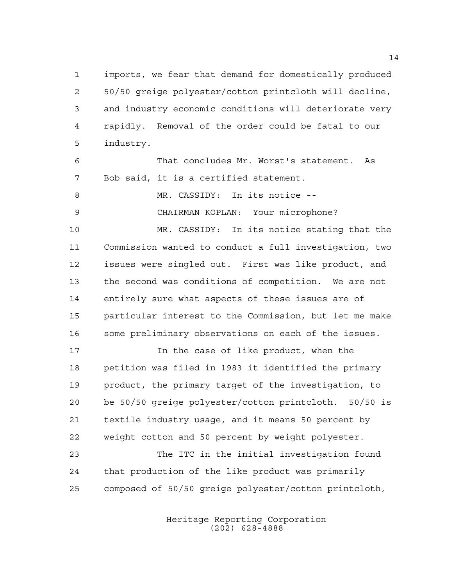imports, we fear that demand for domestically produced 50/50 greige polyester/cotton printcloth will decline, and industry economic conditions will deteriorate very rapidly. Removal of the order could be fatal to our industry.

 That concludes Mr. Worst's statement. As Bob said, it is a certified statement.

8 MR. CASSIDY: In its notice --

CHAIRMAN KOPLAN: Your microphone?

 MR. CASSIDY: In its notice stating that the Commission wanted to conduct a full investigation, two issues were singled out. First was like product, and the second was conditions of competition. We are not entirely sure what aspects of these issues are of particular interest to the Commission, but let me make some preliminary observations on each of the issues.

 In the case of like product, when the petition was filed in 1983 it identified the primary product, the primary target of the investigation, to be 50/50 greige polyester/cotton printcloth. 50/50 is textile industry usage, and it means 50 percent by weight cotton and 50 percent by weight polyester.

 The ITC in the initial investigation found that production of the like product was primarily composed of 50/50 greige polyester/cotton printcloth,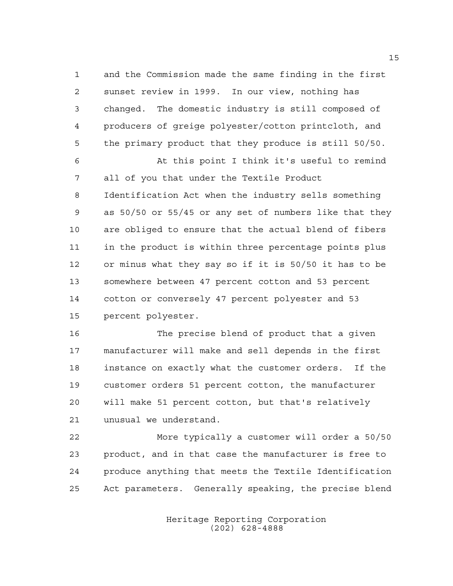and the Commission made the same finding in the first sunset review in 1999. In our view, nothing has changed. The domestic industry is still composed of producers of greige polyester/cotton printcloth, and the primary product that they produce is still 50/50.

 At this point I think it's useful to remind all of you that under the Textile Product Identification Act when the industry sells something as 50/50 or 55/45 or any set of numbers like that they are obliged to ensure that the actual blend of fibers in the product is within three percentage points plus or minus what they say so if it is 50/50 it has to be somewhere between 47 percent cotton and 53 percent cotton or conversely 47 percent polyester and 53 percent polyester.

 The precise blend of product that a given manufacturer will make and sell depends in the first instance on exactly what the customer orders. If the customer orders 51 percent cotton, the manufacturer will make 51 percent cotton, but that's relatively unusual we understand.

 More typically a customer will order a 50/50 product, and in that case the manufacturer is free to produce anything that meets the Textile Identification Act parameters. Generally speaking, the precise blend

> Heritage Reporting Corporation (202) 628-4888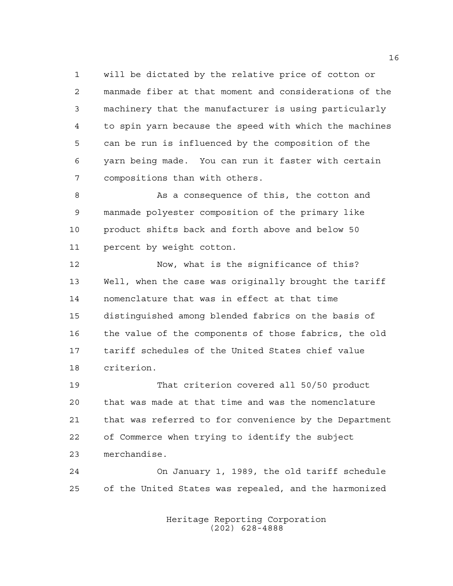will be dictated by the relative price of cotton or manmade fiber at that moment and considerations of the machinery that the manufacturer is using particularly to spin yarn because the speed with which the machines can be run is influenced by the composition of the yarn being made. You can run it faster with certain compositions than with others.

8 As a consequence of this, the cotton and manmade polyester composition of the primary like product shifts back and forth above and below 50 percent by weight cotton.

 Now, what is the significance of this? Well, when the case was originally brought the tariff nomenclature that was in effect at that time distinguished among blended fabrics on the basis of the value of the components of those fabrics, the old tariff schedules of the United States chief value criterion.

 That criterion covered all 50/50 product that was made at that time and was the nomenclature that was referred to for convenience by the Department of Commerce when trying to identify the subject merchandise.

 On January 1, 1989, the old tariff schedule of the United States was repealed, and the harmonized

> Heritage Reporting Corporation (202) 628-4888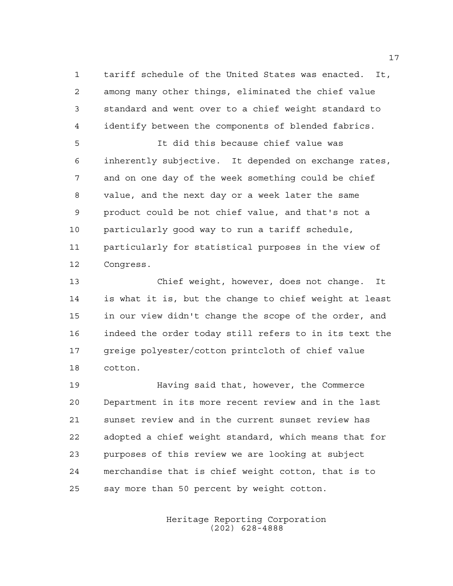tariff schedule of the United States was enacted. It, among many other things, eliminated the chief value standard and went over to a chief weight standard to identify between the components of blended fabrics.

 It did this because chief value was inherently subjective. It depended on exchange rates, and on one day of the week something could be chief value, and the next day or a week later the same product could be not chief value, and that's not a particularly good way to run a tariff schedule, particularly for statistical purposes in the view of Congress.

 Chief weight, however, does not change. It is what it is, but the change to chief weight at least in our view didn't change the scope of the order, and indeed the order today still refers to in its text the greige polyester/cotton printcloth of chief value cotton.

 Having said that, however, the Commerce Department in its more recent review and in the last sunset review and in the current sunset review has adopted a chief weight standard, which means that for purposes of this review we are looking at subject merchandise that is chief weight cotton, that is to say more than 50 percent by weight cotton.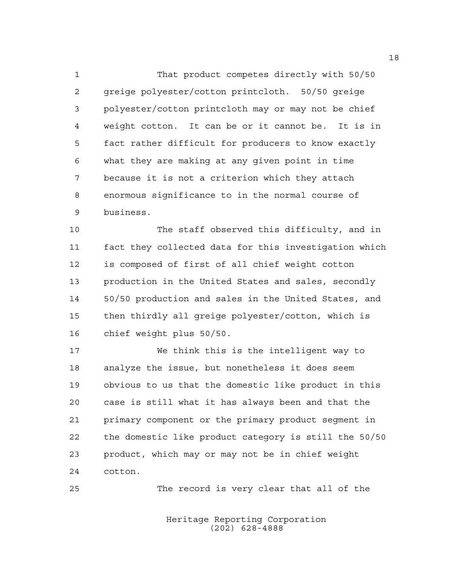That product competes directly with 50/50 greige polyester/cotton printcloth. 50/50 greige polyester/cotton printcloth may or may not be chief weight cotton. It can be or it cannot be. It is in fact rather difficult for producers to know exactly what they are making at any given point in time because it is not a criterion which they attach enormous significance to in the normal course of business.

 The staff observed this difficulty, and in fact they collected data for this investigation which is composed of first of all chief weight cotton production in the United States and sales, secondly 50/50 production and sales in the United States, and then thirdly all greige polyester/cotton, which is chief weight plus 50/50.

 We think this is the intelligent way to analyze the issue, but nonetheless it does seem obvious to us that the domestic like product in this case is still what it has always been and that the primary component or the primary product segment in the domestic like product category is still the 50/50 product, which may or may not be in chief weight cotton.

The record is very clear that all of the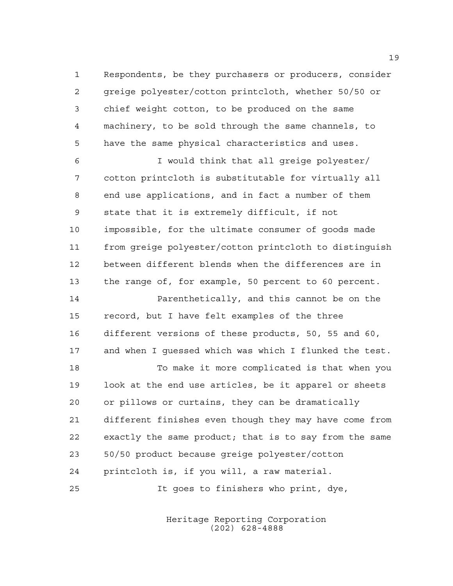Respondents, be they purchasers or producers, consider greige polyester/cotton printcloth, whether 50/50 or chief weight cotton, to be produced on the same machinery, to be sold through the same channels, to have the same physical characteristics and uses.

 I would think that all greige polyester/ cotton printcloth is substitutable for virtually all end use applications, and in fact a number of them state that it is extremely difficult, if not impossible, for the ultimate consumer of goods made from greige polyester/cotton printcloth to distinguish between different blends when the differences are in the range of, for example, 50 percent to 60 percent.

 Parenthetically, and this cannot be on the record, but I have felt examples of the three different versions of these products, 50, 55 and 60, and when I guessed which was which I flunked the test.

 To make it more complicated is that when you look at the end use articles, be it apparel or sheets or pillows or curtains, they can be dramatically different finishes even though they may have come from exactly the same product; that is to say from the same 50/50 product because greige polyester/cotton printcloth is, if you will, a raw material. It goes to finishers who print, dye,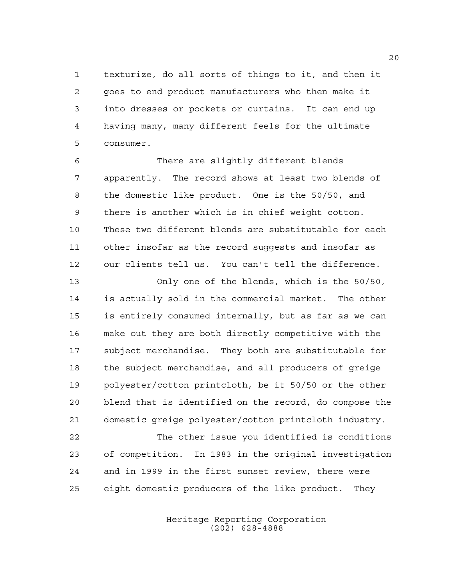texturize, do all sorts of things to it, and then it goes to end product manufacturers who then make it into dresses or pockets or curtains. It can end up having many, many different feels for the ultimate consumer.

 There are slightly different blends apparently. The record shows at least two blends of the domestic like product. One is the 50/50, and there is another which is in chief weight cotton. These two different blends are substitutable for each other insofar as the record suggests and insofar as our clients tell us. You can't tell the difference.

 Only one of the blends, which is the 50/50, is actually sold in the commercial market. The other is entirely consumed internally, but as far as we can make out they are both directly competitive with the subject merchandise. They both are substitutable for the subject merchandise, and all producers of greige polyester/cotton printcloth, be it 50/50 or the other blend that is identified on the record, do compose the domestic greige polyester/cotton printcloth industry.

 The other issue you identified is conditions of competition. In 1983 in the original investigation and in 1999 in the first sunset review, there were eight domestic producers of the like product. They

> Heritage Reporting Corporation (202) 628-4888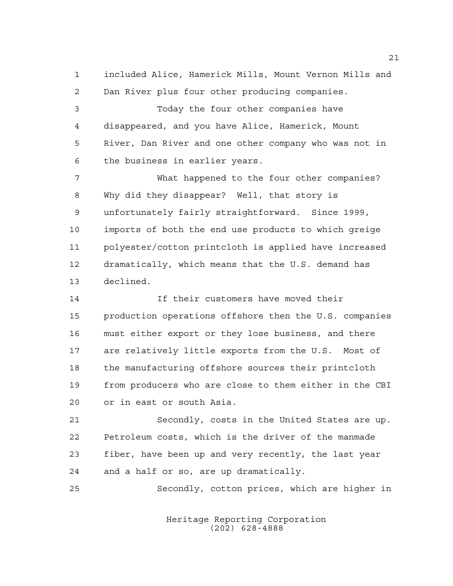included Alice, Hamerick Mills, Mount Vernon Mills and Dan River plus four other producing companies.

 Today the four other companies have disappeared, and you have Alice, Hamerick, Mount River, Dan River and one other company who was not in the business in earlier years.

 What happened to the four other companies? Why did they disappear? Well, that story is unfortunately fairly straightforward. Since 1999, imports of both the end use products to which greige polyester/cotton printcloth is applied have increased dramatically, which means that the U.S. demand has declined.

 If their customers have moved their production operations offshore then the U.S. companies must either export or they lose business, and there are relatively little exports from the U.S. Most of the manufacturing offshore sources their printcloth from producers who are close to them either in the CBI or in east or south Asia.

 Secondly, costs in the United States are up. Petroleum costs, which is the driver of the manmade fiber, have been up and very recently, the last year and a half or so, are up dramatically.

Secondly, cotton prices, which are higher in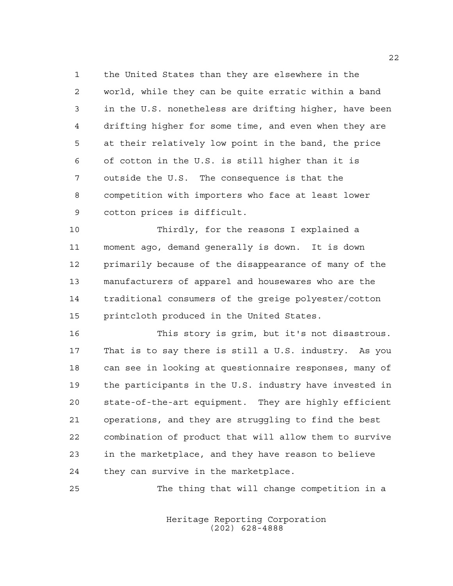the United States than they are elsewhere in the world, while they can be quite erratic within a band in the U.S. nonetheless are drifting higher, have been drifting higher for some time, and even when they are at their relatively low point in the band, the price of cotton in the U.S. is still higher than it is outside the U.S. The consequence is that the competition with importers who face at least lower cotton prices is difficult.

 Thirdly, for the reasons I explained a moment ago, demand generally is down. It is down primarily because of the disappearance of many of the manufacturers of apparel and housewares who are the traditional consumers of the greige polyester/cotton printcloth produced in the United States.

 This story is grim, but it's not disastrous. That is to say there is still a U.S. industry. As you can see in looking at questionnaire responses, many of the participants in the U.S. industry have invested in state-of-the-art equipment. They are highly efficient operations, and they are struggling to find the best combination of product that will allow them to survive in the marketplace, and they have reason to believe they can survive in the marketplace.

The thing that will change competition in a

Heritage Reporting Corporation (202) 628-4888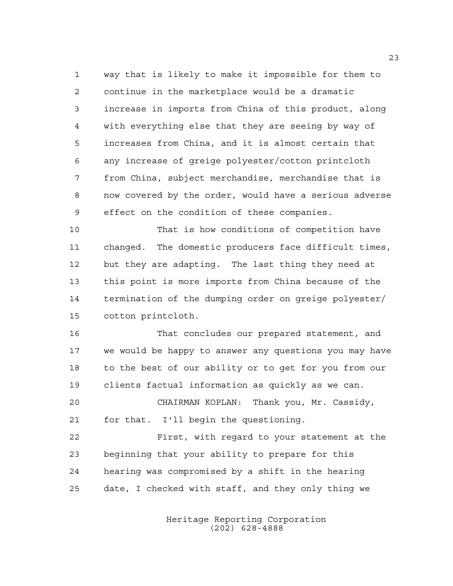way that is likely to make it impossible for them to continue in the marketplace would be a dramatic increase in imports from China of this product, along with everything else that they are seeing by way of increases from China, and it is almost certain that any increase of greige polyester/cotton printcloth from China, subject merchandise, merchandise that is now covered by the order, would have a serious adverse effect on the condition of these companies.

 That is how conditions of competition have changed. The domestic producers face difficult times, but they are adapting. The last thing they need at this point is more imports from China because of the termination of the dumping order on greige polyester/ cotton printcloth.

 That concludes our prepared statement, and we would be happy to answer any questions you may have to the best of our ability or to get for you from our clients factual information as quickly as we can.

 CHAIRMAN KOPLAN: Thank you, Mr. Cassidy, for that. I'll begin the questioning.

 First, with regard to your statement at the beginning that your ability to prepare for this hearing was compromised by a shift in the hearing date, I checked with staff, and they only thing we

> Heritage Reporting Corporation (202) 628-4888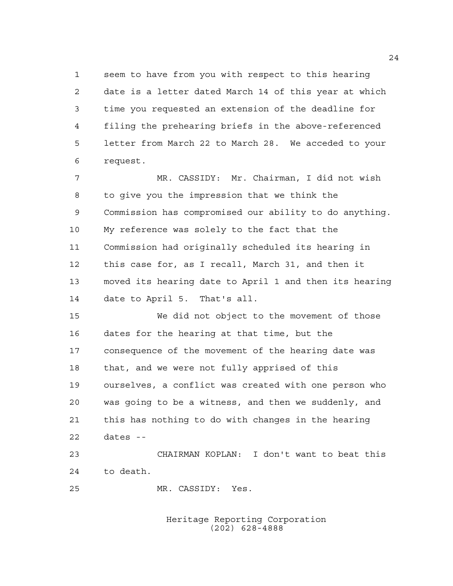seem to have from you with respect to this hearing date is a letter dated March 14 of this year at which time you requested an extension of the deadline for filing the prehearing briefs in the above-referenced letter from March 22 to March 28. We acceded to your request.

 MR. CASSIDY: Mr. Chairman, I did not wish to give you the impression that we think the Commission has compromised our ability to do anything. My reference was solely to the fact that the Commission had originally scheduled its hearing in this case for, as I recall, March 31, and then it moved its hearing date to April 1 and then its hearing date to April 5. That's all.

 We did not object to the movement of those dates for the hearing at that time, but the consequence of the movement of the hearing date was that, and we were not fully apprised of this ourselves, a conflict was created with one person who was going to be a witness, and then we suddenly, and this has nothing to do with changes in the hearing dates --

 CHAIRMAN KOPLAN: I don't want to beat this to death.

MR. CASSIDY: Yes.

Heritage Reporting Corporation (202) 628-4888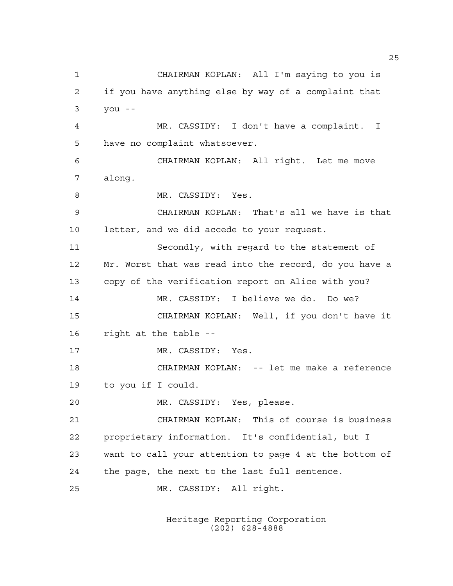CHAIRMAN KOPLAN: All I'm saying to you is if you have anything else by way of a complaint that you -- MR. CASSIDY: I don't have a complaint. I have no complaint whatsoever. CHAIRMAN KOPLAN: All right. Let me move along. 8 MR. CASSIDY: Yes. CHAIRMAN KOPLAN: That's all we have is that letter, and we did accede to your request. Secondly, with regard to the statement of Mr. Worst that was read into the record, do you have a copy of the verification report on Alice with you? MR. CASSIDY: I believe we do. Do we? CHAIRMAN KOPLAN: Well, if you don't have it right at the table -- 17 MR. CASSIDY: Yes. CHAIRMAN KOPLAN: -- let me make a reference to you if I could. MR. CASSIDY: Yes, please. CHAIRMAN KOPLAN: This of course is business proprietary information. It's confidential, but I want to call your attention to page 4 at the bottom of the page, the next to the last full sentence. MR. CASSIDY: All right.

> Heritage Reporting Corporation (202) 628-4888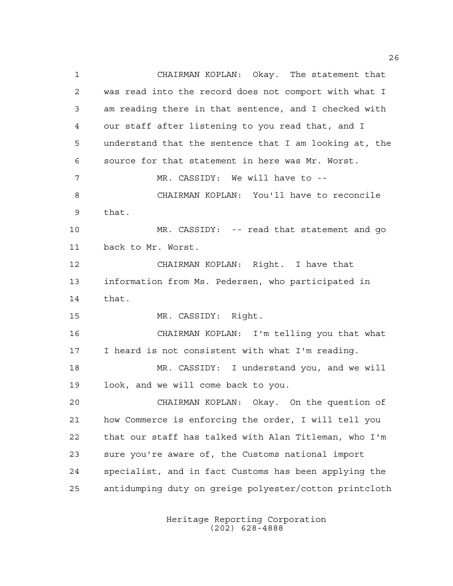CHAIRMAN KOPLAN: Okay. The statement that was read into the record does not comport with what I am reading there in that sentence, and I checked with our staff after listening to you read that, and I understand that the sentence that I am looking at, the source for that statement in here was Mr. Worst. MR. CASSIDY: We will have to -- CHAIRMAN KOPLAN: You'll have to reconcile that. MR. CASSIDY: -- read that statement and go back to Mr. Worst. CHAIRMAN KOPLAN: Right. I have that information from Ms. Pedersen, who participated in that. MR. CASSIDY: Right. CHAIRMAN KOPLAN: I'm telling you that what I heard is not consistent with what I'm reading. MR. CASSIDY: I understand you, and we will look, and we will come back to you. CHAIRMAN KOPLAN: Okay. On the question of how Commerce is enforcing the order, I will tell you that our staff has talked with Alan Titleman, who I'm sure you're aware of, the Customs national import specialist, and in fact Customs has been applying the antidumping duty on greige polyester/cotton printcloth

> Heritage Reporting Corporation (202) 628-4888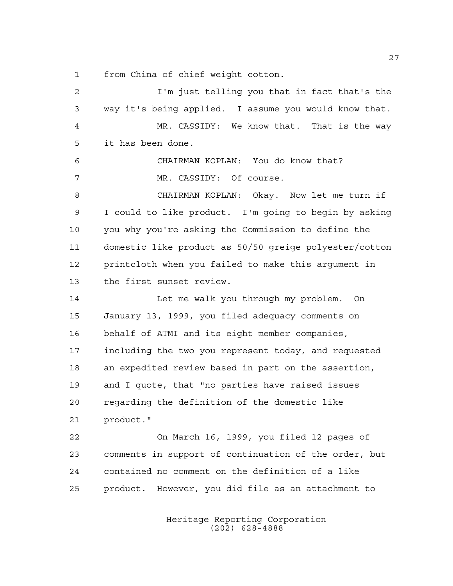from China of chief weight cotton.

| 2  | I'm just telling you that in fact that's the           |
|----|--------------------------------------------------------|
| 3  | way it's being applied. I assume you would know that.  |
| 4  | MR. CASSIDY: We know that. That is the way             |
| 5  | it has been done.                                      |
| 6  | CHAIRMAN KOPLAN: You do know that?                     |
| 7  | MR. CASSIDY: Of course.                                |
| 8  | CHAIRMAN KOPLAN: Okay. Now let me turn if              |
| 9  | I could to like product. I'm going to begin by asking  |
| 10 | you why you're asking the Commission to define the     |
| 11 | domestic like product as 50/50 greige polyester/cotton |
| 12 | printcloth when you failed to make this argument in    |
| 13 | the first sunset review.                               |
| 14 | Let me walk you through my problem. On                 |
| 15 | January 13, 1999, you filed adequacy comments on       |
| 16 | behalf of ATMI and its eight member companies,         |
| 17 | including the two you represent today, and requested   |
| 18 | an expedited review based in part on the assertion,    |
| 19 | and I quote, that "no parties have raised issues       |
| 20 | regarding the definition of the domestic like          |
| 21 | product."                                              |
| 22 | On March 16, 1999, you filed 12 pages of               |
| 23 | comments in support of continuation of the order, but  |
| 24 | contained no comment on the definition of a like       |
| 25 | product. However, you did file as an attachment to     |
|    |                                                        |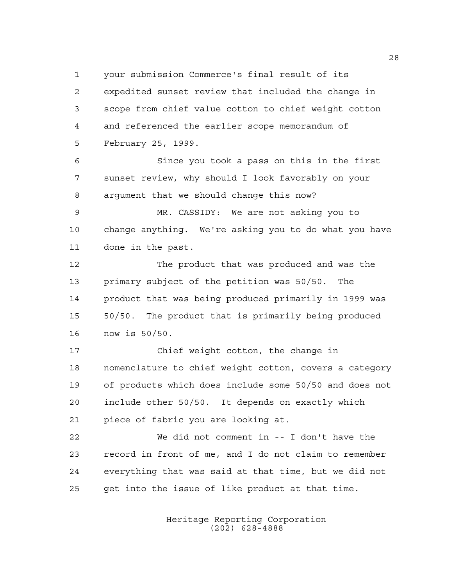your submission Commerce's final result of its expedited sunset review that included the change in scope from chief value cotton to chief weight cotton and referenced the earlier scope memorandum of February 25, 1999.

 Since you took a pass on this in the first sunset review, why should I look favorably on your argument that we should change this now?

 MR. CASSIDY: We are not asking you to change anything. We're asking you to do what you have done in the past.

 The product that was produced and was the primary subject of the petition was 50/50. The product that was being produced primarily in 1999 was 50/50. The product that is primarily being produced now is 50/50.

 Chief weight cotton, the change in nomenclature to chief weight cotton, covers a category of products which does include some 50/50 and does not include other 50/50. It depends on exactly which piece of fabric you are looking at.

 We did not comment in -- I don't have the record in front of me, and I do not claim to remember everything that was said at that time, but we did not get into the issue of like product at that time.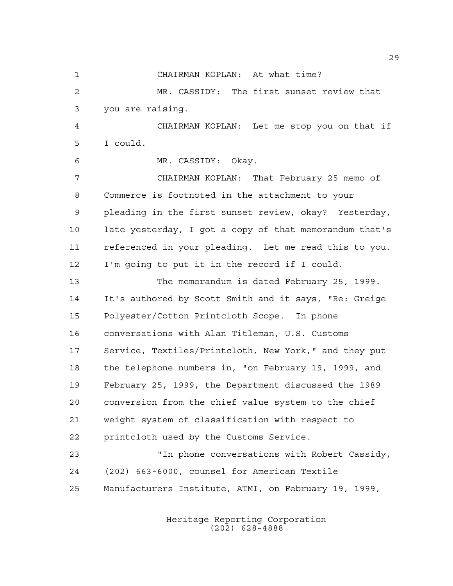CHAIRMAN KOPLAN: At what time?

 MR. CASSIDY: The first sunset review that you are raising.

 CHAIRMAN KOPLAN: Let me stop you on that if I could.

MR. CASSIDY: Okay.

 CHAIRMAN KOPLAN: That February 25 memo of Commerce is footnoted in the attachment to your pleading in the first sunset review, okay? Yesterday, late yesterday, I got a copy of that memorandum that's referenced in your pleading. Let me read this to you. I'm going to put it in the record if I could.

 The memorandum is dated February 25, 1999. It's authored by Scott Smith and it says, "Re: Greige Polyester/Cotton Printcloth Scope. In phone conversations with Alan Titleman, U.S. Customs Service, Textiles/Printcloth, New York," and they put the telephone numbers in, "on February 19, 1999, and February 25, 1999, the Department discussed the 1989 conversion from the chief value system to the chief weight system of classification with respect to printcloth used by the Customs Service.

 "In phone conversations with Robert Cassidy, (202) 663-6000, counsel for American Textile Manufacturers Institute, ATMI, on February 19, 1999,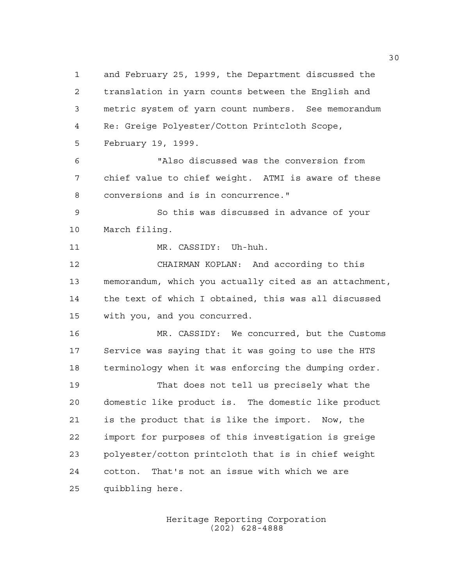and February 25, 1999, the Department discussed the translation in yarn counts between the English and metric system of yarn count numbers. See memorandum Re: Greige Polyester/Cotton Printcloth Scope, February 19, 1999. "Also discussed was the conversion from chief value to chief weight. ATMI is aware of these conversions and is in concurrence." So this was discussed in advance of your March filing. MR. CASSIDY: Uh-huh. CHAIRMAN KOPLAN: And according to this memorandum, which you actually cited as an attachment, the text of which I obtained, this was all discussed with you, and you concurred. MR. CASSIDY: We concurred, but the Customs Service was saying that it was going to use the HTS terminology when it was enforcing the dumping order. That does not tell us precisely what the domestic like product is. The domestic like product is the product that is like the import. Now, the import for purposes of this investigation is greige polyester/cotton printcloth that is in chief weight cotton. That's not an issue with which we are quibbling here.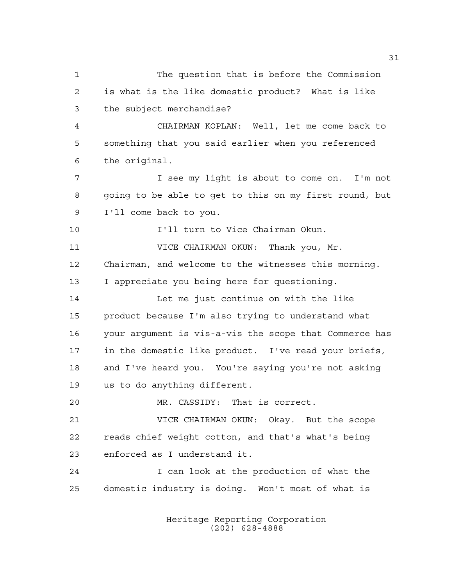The question that is before the Commission is what is the like domestic product? What is like the subject merchandise? CHAIRMAN KOPLAN: Well, let me come back to something that you said earlier when you referenced the original. I see my light is about to come on. I'm not going to be able to get to this on my first round, but I'll come back to you. I'll turn to Vice Chairman Okun. VICE CHAIRMAN OKUN: Thank you, Mr. Chairman, and welcome to the witnesses this morning. I appreciate you being here for questioning. Let me just continue on with the like product because I'm also trying to understand what your argument is vis-a-vis the scope that Commerce has in the domestic like product. I've read your briefs, and I've heard you. You're saying you're not asking us to do anything different. MR. CASSIDY: That is correct. VICE CHAIRMAN OKUN: Okay. But the scope reads chief weight cotton, and that's what's being enforced as I understand it. I can look at the production of what the domestic industry is doing. Won't most of what is

> Heritage Reporting Corporation (202) 628-4888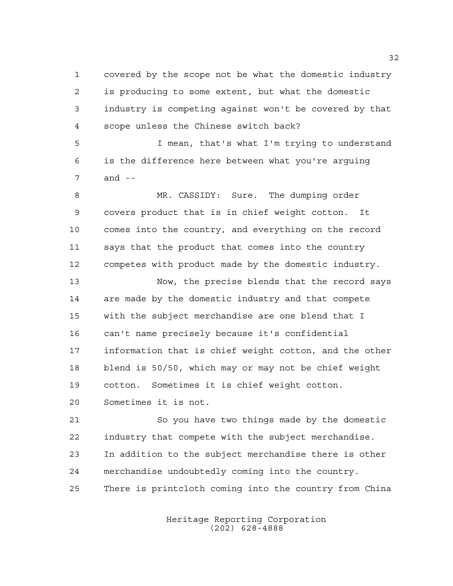covered by the scope not be what the domestic industry is producing to some extent, but what the domestic industry is competing against won't be covered by that scope unless the Chinese switch back?

 I mean, that's what I'm trying to understand is the difference here between what you're arguing and --

 MR. CASSIDY: Sure. The dumping order covers product that is in chief weight cotton. It comes into the country, and everything on the record says that the product that comes into the country competes with product made by the domestic industry.

 Now, the precise blends that the record says are made by the domestic industry and that compete with the subject merchandise are one blend that I can't name precisely because it's confidential information that is chief weight cotton, and the other blend is 50/50, which may or may not be chief weight cotton. Sometimes it is chief weight cotton.

Sometimes it is not.

 So you have two things made by the domestic industry that compete with the subject merchandise. In addition to the subject merchandise there is other merchandise undoubtedly coming into the country. There is printcloth coming into the country from China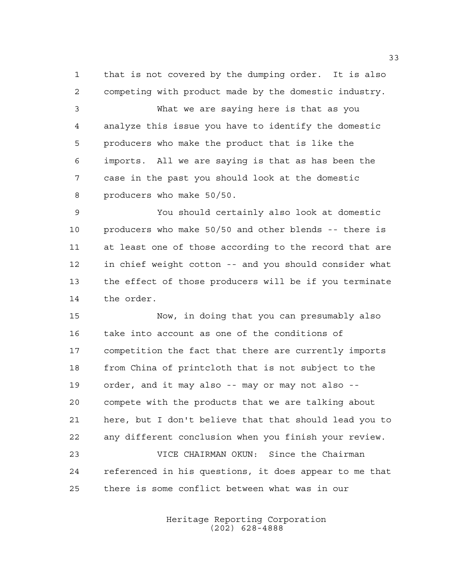that is not covered by the dumping order. It is also competing with product made by the domestic industry.

 What we are saying here is that as you analyze this issue you have to identify the domestic producers who make the product that is like the imports. All we are saying is that as has been the case in the past you should look at the domestic producers who make 50/50.

 You should certainly also look at domestic producers who make 50/50 and other blends -- there is at least one of those according to the record that are in chief weight cotton -- and you should consider what the effect of those producers will be if you terminate the order.

 Now, in doing that you can presumably also take into account as one of the conditions of competition the fact that there are currently imports from China of printcloth that is not subject to the order, and it may also -- may or may not also -- compete with the products that we are talking about here, but I don't believe that that should lead you to any different conclusion when you finish your review. VICE CHAIRMAN OKUN: Since the Chairman

 referenced in his questions, it does appear to me that there is some conflict between what was in our

> Heritage Reporting Corporation (202) 628-4888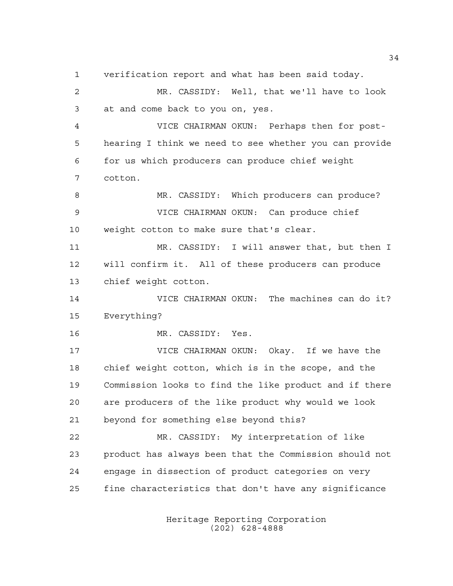verification report and what has been said today.

 MR. CASSIDY: Well, that we'll have to look at and come back to you on, yes. VICE CHAIRMAN OKUN: Perhaps then for post-

 hearing I think we need to see whether you can provide for us which producers can produce chief weight cotton.

8 MR. CASSIDY: Which producers can produce? VICE CHAIRMAN OKUN: Can produce chief weight cotton to make sure that's clear.

 MR. CASSIDY: I will answer that, but then I will confirm it. All of these producers can produce chief weight cotton.

 VICE CHAIRMAN OKUN: The machines can do it? Everything?

MR. CASSIDY: Yes.

 VICE CHAIRMAN OKUN: Okay. If we have the chief weight cotton, which is in the scope, and the Commission looks to find the like product and if there are producers of the like product why would we look beyond for something else beyond this?

 MR. CASSIDY: My interpretation of like product has always been that the Commission should not engage in dissection of product categories on very fine characteristics that don't have any significance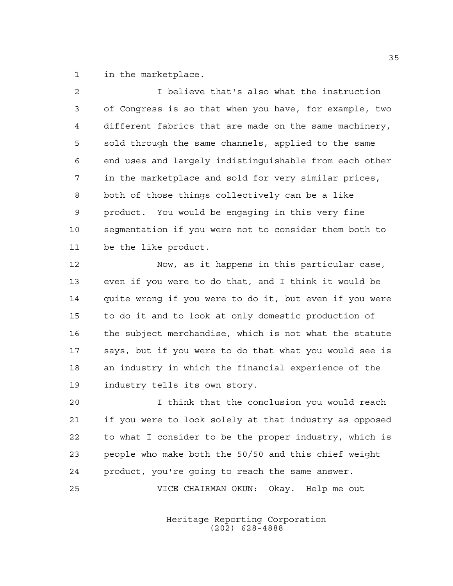in the marketplace.

| $\mathfrak{D}$ | I believe that's also what the instruction             |
|----------------|--------------------------------------------------------|
| 3              | of Congress is so that when you have, for example, two |
| $\overline{4}$ | different fabrics that are made on the same machinery, |
| 5              | sold through the same channels, applied to the same    |
| 6              | end uses and largely indistinguishable from each other |
| 7              | in the marketplace and sold for very similar prices,   |
| 8              | both of those things collectively can be a like        |
| 9              | product. You would be engaging in this very fine       |
| 10             | seqmentation if you were not to consider them both to  |
| 11             | be the like product.                                   |
|                |                                                        |

 Now, as it happens in this particular case, even if you were to do that, and I think it would be quite wrong if you were to do it, but even if you were to do it and to look at only domestic production of the subject merchandise, which is not what the statute says, but if you were to do that what you would see is an industry in which the financial experience of the industry tells its own story.

 I think that the conclusion you would reach if you were to look solely at that industry as opposed to what I consider to be the proper industry, which is people who make both the 50/50 and this chief weight product, you're going to reach the same answer. VICE CHAIRMAN OKUN: Okay. Help me out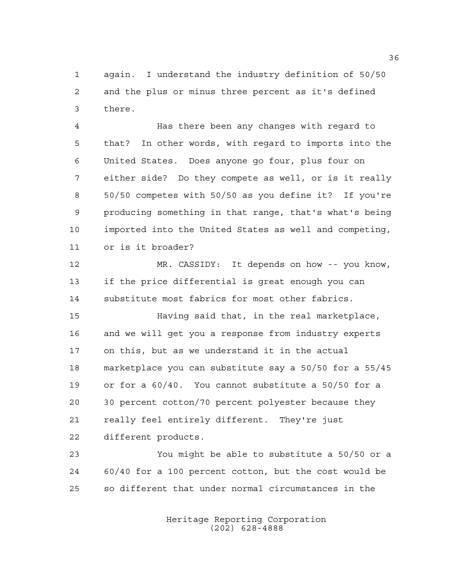again. I understand the industry definition of 50/50 and the plus or minus three percent as it's defined there.

 Has there been any changes with regard to that? In other words, with regard to imports into the United States. Does anyone go four, plus four on either side? Do they compete as well, or is it really 50/50 competes with 50/50 as you define it? If you're producing something in that range, that's what's being imported into the United States as well and competing, or is it broader?

 MR. CASSIDY: It depends on how -- you know, if the price differential is great enough you can substitute most fabrics for most other fabrics.

 Having said that, in the real marketplace, and we will get you a response from industry experts on this, but as we understand it in the actual marketplace you can substitute say a 50/50 for a 55/45 or for a 60/40. You cannot substitute a 50/50 for a 30 percent cotton/70 percent polyester because they really feel entirely different. They're just different products.

 You might be able to substitute a 50/50 or a 60/40 for a 100 percent cotton, but the cost would be so different that under normal circumstances in the

> Heritage Reporting Corporation (202) 628-4888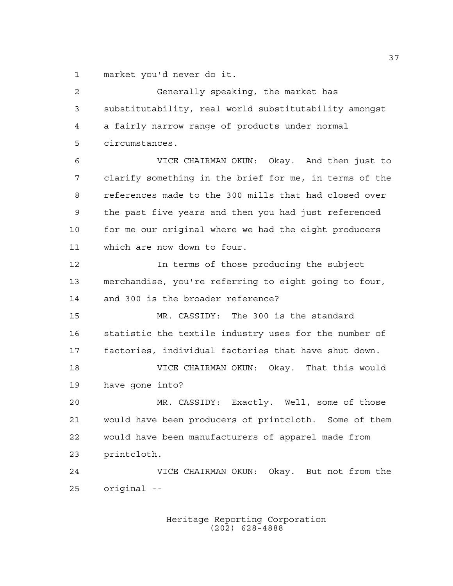market you'd never do it.

| 2  | Generally speaking, the market has                     |
|----|--------------------------------------------------------|
| 3  | substitutability, real world substitutability amongst  |
| 4  | a fairly narrow range of products under normal         |
| 5  | circumstances.                                         |
| 6  | VICE CHAIRMAN OKUN: Okay. And then just to             |
| 7  | clarify something in the brief for me, in terms of the |
| 8  | references made to the 300 mills that had closed over  |
| 9  | the past five years and then you had just referenced   |
| 10 | for me our original where we had the eight producers   |
| 11 | which are now down to four.                            |
| 12 | In terms of those producing the subject                |
| 13 | merchandise, you're referring to eight going to four,  |
| 14 | and 300 is the broader reference?                      |
| 15 | MR. CASSIDY: The 300 is the standard                   |
| 16 | statistic the textile industry uses for the number of  |
| 17 | factories, individual factories that have shut down.   |
| 18 | VICE CHAIRMAN OKUN: Okay. That this would              |
| 19 | have gone into?                                        |
| 20 | MR. CASSIDY: Exactly. Well, some of those              |
| 21 | would have been producers of printcloth. Some of them  |
| 22 | would have been manufacturers of apparel made from     |
| 23 | printcloth.                                            |
| 24 | VICE CHAIRMAN OKUN: Okay. But not from the             |
| 25 | original --                                            |
|    |                                                        |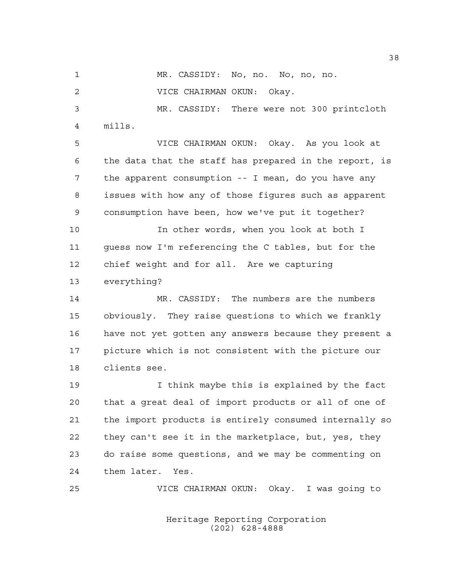MR. CASSIDY: No, no. No, no, no.

VICE CHAIRMAN OKUN: Okay.

 MR. CASSIDY: There were not 300 printcloth mills.

 VICE CHAIRMAN OKUN: Okay. As you look at the data that the staff has prepared in the report, is the apparent consumption -- I mean, do you have any issues with how any of those figures such as apparent consumption have been, how we've put it together?

 In other words, when you look at both I guess now I'm referencing the C tables, but for the chief weight and for all. Are we capturing everything?

 MR. CASSIDY: The numbers are the numbers obviously. They raise questions to which we frankly have not yet gotten any answers because they present a picture which is not consistent with the picture our clients see.

 I think maybe this is explained by the fact that a great deal of import products or all of one of the import products is entirely consumed internally so they can't see it in the marketplace, but, yes, they do raise some questions, and we may be commenting on them later. Yes.

VICE CHAIRMAN OKUN: Okay. I was going to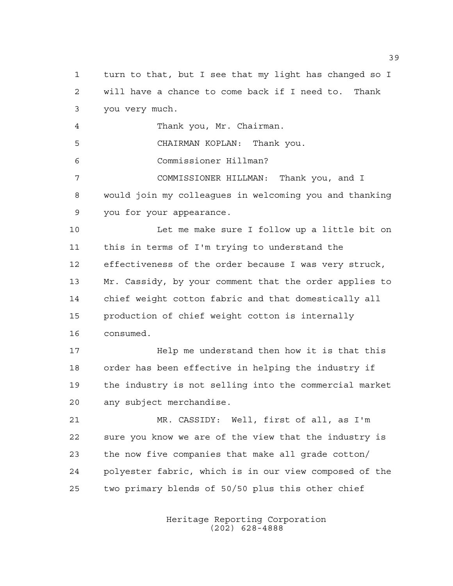will have a chance to come back if I need to. Thank you very much. Thank you, Mr. Chairman. CHAIRMAN KOPLAN: Thank you. Commissioner Hillman? COMMISSIONER HILLMAN: Thank you, and I would join my colleagues in welcoming you and thanking you for your appearance. Let me make sure I follow up a little bit on this in terms of I'm trying to understand the effectiveness of the order because I was very struck, Mr. Cassidy, by your comment that the order applies to chief weight cotton fabric and that domestically all production of chief weight cotton is internally consumed. Help me understand then how it is that this order has been effective in helping the industry if the industry is not selling into the commercial market any subject merchandise. MR. CASSIDY: Well, first of all, as I'm sure you know we are of the view that the industry is the now five companies that make all grade cotton/ polyester fabric, which is in our view composed of the two primary blends of 50/50 plus this other chief

turn to that, but I see that my light has changed so I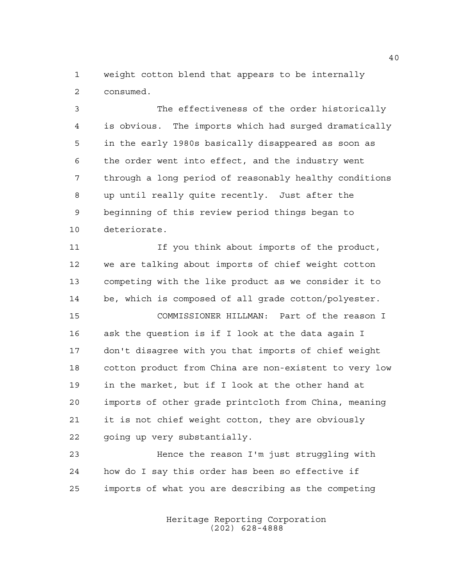weight cotton blend that appears to be internally consumed.

 The effectiveness of the order historically is obvious. The imports which had surged dramatically in the early 1980s basically disappeared as soon as the order went into effect, and the industry went through a long period of reasonably healthy conditions up until really quite recently. Just after the beginning of this review period things began to deteriorate.

11 11 If you think about imports of the product, we are talking about imports of chief weight cotton competing with the like product as we consider it to be, which is composed of all grade cotton/polyester.

 COMMISSIONER HILLMAN: Part of the reason I ask the question is if I look at the data again I don't disagree with you that imports of chief weight cotton product from China are non-existent to very low in the market, but if I look at the other hand at imports of other grade printcloth from China, meaning it is not chief weight cotton, they are obviously going up very substantially.

 Hence the reason I'm just struggling with how do I say this order has been so effective if imports of what you are describing as the competing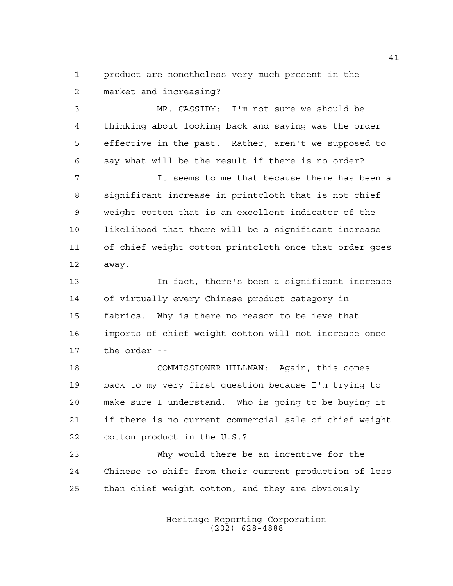product are nonetheless very much present in the market and increasing?

 MR. CASSIDY: I'm not sure we should be thinking about looking back and saying was the order effective in the past. Rather, aren't we supposed to say what will be the result if there is no order?

 It seems to me that because there has been a significant increase in printcloth that is not chief weight cotton that is an excellent indicator of the likelihood that there will be a significant increase of chief weight cotton printcloth once that order goes away.

 In fact, there's been a significant increase of virtually every Chinese product category in fabrics. Why is there no reason to believe that imports of chief weight cotton will not increase once the order --

 COMMISSIONER HILLMAN: Again, this comes back to my very first question because I'm trying to make sure I understand. Who is going to be buying it if there is no current commercial sale of chief weight cotton product in the U.S.?

 Why would there be an incentive for the Chinese to shift from their current production of less than chief weight cotton, and they are obviously

> Heritage Reporting Corporation (202) 628-4888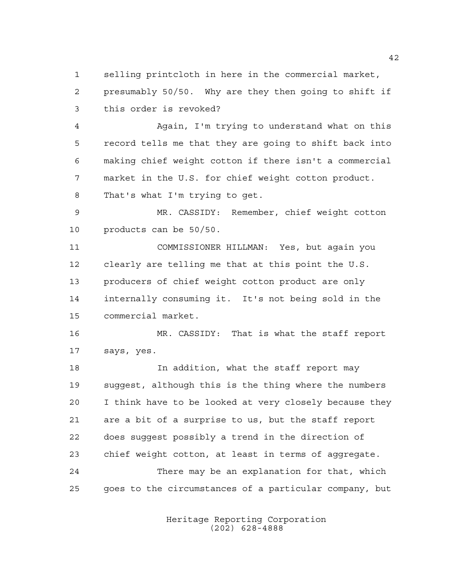selling printcloth in here in the commercial market, presumably 50/50. Why are they then going to shift if this order is revoked?

 Again, I'm trying to understand what on this record tells me that they are going to shift back into making chief weight cotton if there isn't a commercial market in the U.S. for chief weight cotton product. That's what I'm trying to get.

 MR. CASSIDY: Remember, chief weight cotton products can be 50/50.

 COMMISSIONER HILLMAN: Yes, but again you clearly are telling me that at this point the U.S. producers of chief weight cotton product are only internally consuming it. It's not being sold in the commercial market.

 MR. CASSIDY: That is what the staff report says, yes.

 In addition, what the staff report may suggest, although this is the thing where the numbers I think have to be looked at very closely because they are a bit of a surprise to us, but the staff report does suggest possibly a trend in the direction of chief weight cotton, at least in terms of aggregate. There may be an explanation for that, which goes to the circumstances of a particular company, but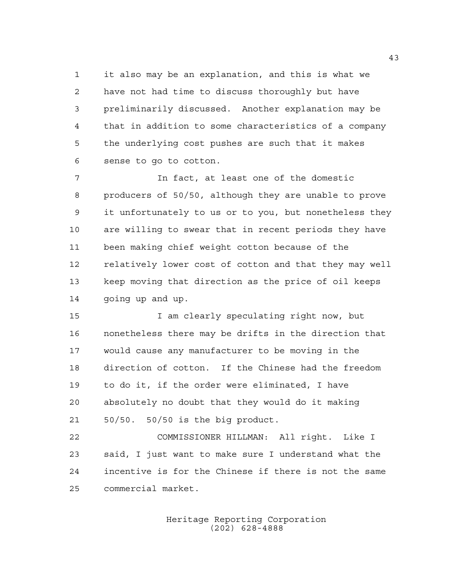it also may be an explanation, and this is what we have not had time to discuss thoroughly but have preliminarily discussed. Another explanation may be that in addition to some characteristics of a company the underlying cost pushes are such that it makes sense to go to cotton.

 In fact, at least one of the domestic producers of 50/50, although they are unable to prove it unfortunately to us or to you, but nonetheless they are willing to swear that in recent periods they have been making chief weight cotton because of the relatively lower cost of cotton and that they may well keep moving that direction as the price of oil keeps 14 going up and up.

 I am clearly speculating right now, but nonetheless there may be drifts in the direction that would cause any manufacturer to be moving in the direction of cotton. If the Chinese had the freedom to do it, if the order were eliminated, I have absolutely no doubt that they would do it making 50/50. 50/50 is the big product.

 COMMISSIONER HILLMAN: All right. Like I said, I just want to make sure I understand what the incentive is for the Chinese if there is not the same commercial market.

> Heritage Reporting Corporation (202) 628-4888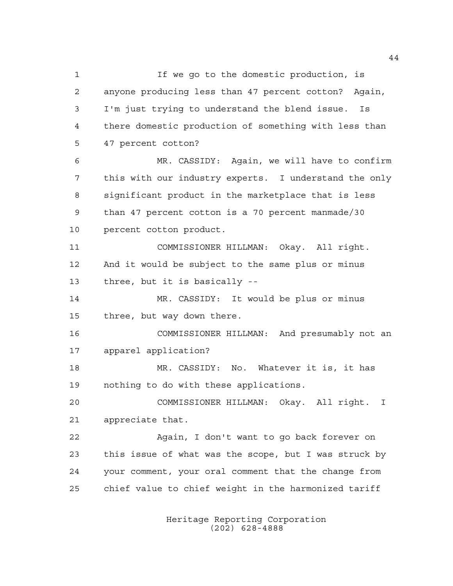If we go to the domestic production, is anyone producing less than 47 percent cotton? Again, I'm just trying to understand the blend issue. Is there domestic production of something with less than 47 percent cotton? MR. CASSIDY: Again, we will have to confirm this with our industry experts. I understand the only significant product in the marketplace that is less than 47 percent cotton is a 70 percent manmade/30 percent cotton product. COMMISSIONER HILLMAN: Okay. All right. And it would be subject to the same plus or minus three, but it is basically -- MR. CASSIDY: It would be plus or minus three, but way down there. COMMISSIONER HILLMAN: And presumably not an apparel application? MR. CASSIDY: No. Whatever it is, it has nothing to do with these applications. COMMISSIONER HILLMAN: Okay. All right. I appreciate that. Again, I don't want to go back forever on this issue of what was the scope, but I was struck by your comment, your oral comment that the change from chief value to chief weight in the harmonized tariff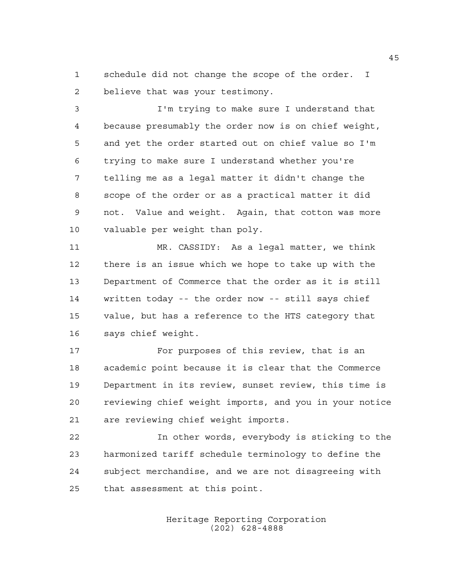schedule did not change the scope of the order. I believe that was your testimony.

 I'm trying to make sure I understand that because presumably the order now is on chief weight, and yet the order started out on chief value so I'm trying to make sure I understand whether you're telling me as a legal matter it didn't change the scope of the order or as a practical matter it did not. Value and weight. Again, that cotton was more valuable per weight than poly.

 MR. CASSIDY: As a legal matter, we think there is an issue which we hope to take up with the Department of Commerce that the order as it is still written today -- the order now -- still says chief value, but has a reference to the HTS category that says chief weight.

17 For purposes of this review, that is an academic point because it is clear that the Commerce Department in its review, sunset review, this time is reviewing chief weight imports, and you in your notice are reviewing chief weight imports.

 In other words, everybody is sticking to the harmonized tariff schedule terminology to define the subject merchandise, and we are not disagreeing with that assessment at this point.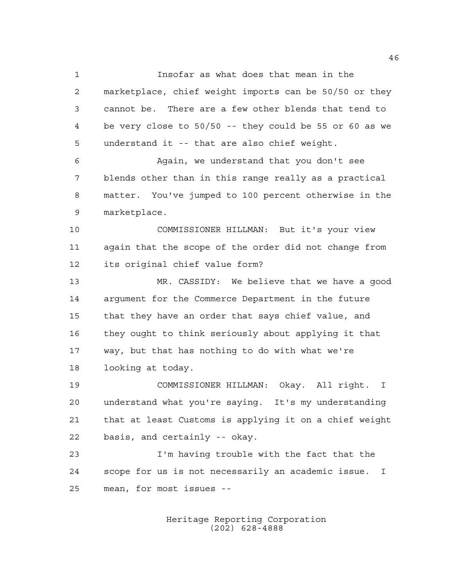Insofar as what does that mean in the marketplace, chief weight imports can be 50/50 or they cannot be. There are a few other blends that tend to be very close to 50/50 -- they could be 55 or 60 as we understand it -- that are also chief weight.

 Again, we understand that you don't see blends other than in this range really as a practical matter. You've jumped to 100 percent otherwise in the marketplace.

 COMMISSIONER HILLMAN: But it's your view again that the scope of the order did not change from its original chief value form?

 MR. CASSIDY: We believe that we have a good argument for the Commerce Department in the future that they have an order that says chief value, and they ought to think seriously about applying it that way, but that has nothing to do with what we're looking at today.

 COMMISSIONER HILLMAN: Okay. All right. I understand what you're saying. It's my understanding that at least Customs is applying it on a chief weight basis, and certainly -- okay.

 I'm having trouble with the fact that the scope for us is not necessarily an academic issue. I mean, for most issues --

> Heritage Reporting Corporation (202) 628-4888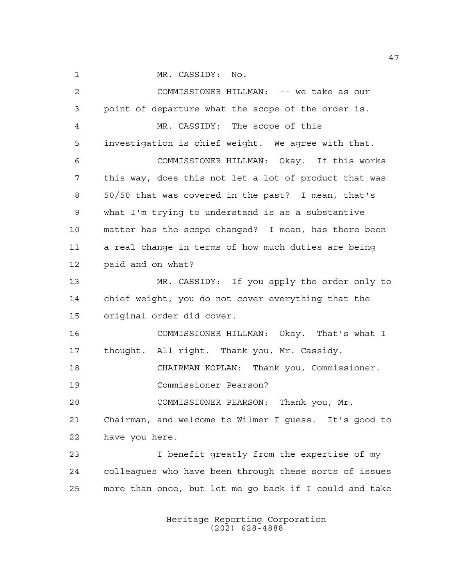1 MR. CASSIDY: No.

 COMMISSIONER HILLMAN: -- we take as our point of departure what the scope of the order is. MR. CASSIDY: The scope of this investigation is chief weight. We agree with that. COMMISSIONER HILLMAN: Okay. If this works this way, does this not let a lot of product that was 50/50 that was covered in the past? I mean, that's what I'm trying to understand is as a substantive matter has the scope changed? I mean, has there been a real change in terms of how much duties are being paid and on what? MR. CASSIDY: If you apply the order only to chief weight, you do not cover everything that the original order did cover. COMMISSIONER HILLMAN: Okay. That's what I thought. All right. Thank you, Mr. Cassidy. CHAIRMAN KOPLAN: Thank you, Commissioner. Commissioner Pearson? COMMISSIONER PEARSON: Thank you, Mr. Chairman, and welcome to Wilmer I guess. It's good to have you here. I benefit greatly from the expertise of my colleagues who have been through these sorts of issues more than once, but let me go back if I could and take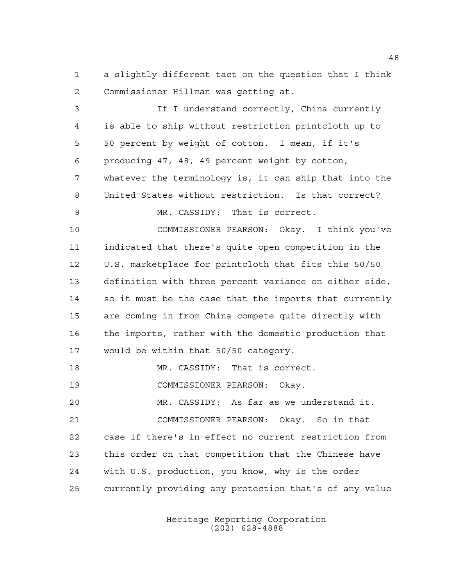a slightly different tact on the question that I think Commissioner Hillman was getting at.

 If I understand correctly, China currently is able to ship without restriction printcloth up to 50 percent by weight of cotton. I mean, if it's producing 47, 48, 49 percent weight by cotton, whatever the terminology is, it can ship that into the United States without restriction. Is that correct? MR. CASSIDY: That is correct. COMMISSIONER PEARSON: Okay. I think you've indicated that there's quite open competition in the U.S. marketplace for printcloth that fits this 50/50 definition with three percent variance on either side, so it must be the case that the imports that currently are coming in from China compete quite directly with the imports, rather with the domestic production that would be within that 50/50 category. 18 MR. CASSIDY: That is correct. COMMISSIONER PEARSON: Okay.

 MR. CASSIDY: As far as we understand it. COMMISSIONER PEARSON: Okay. So in that case if there's in effect no current restriction from this order on that competition that the Chinese have with U.S. production, you know, why is the order currently providing any protection that's of any value

> Heritage Reporting Corporation (202) 628-4888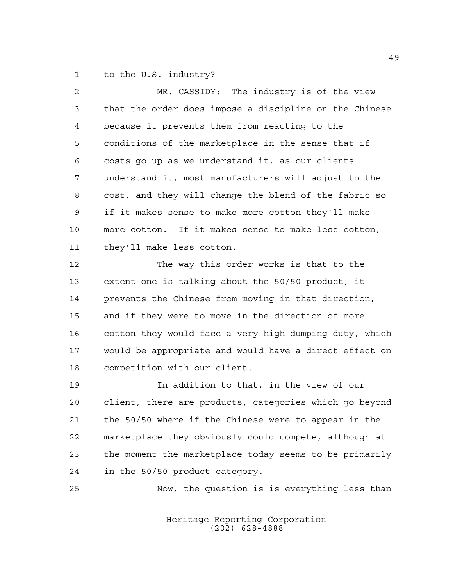to the U.S. industry?

| MR. CASSIDY: The industry is of the view               |
|--------------------------------------------------------|
| that the order does impose a discipline on the Chinese |
| because it prevents them from reacting to the          |
| conditions of the marketplace in the sense that if     |
| costs go up as we understand it, as our clients        |
| understand it, most manufacturers will adjust to the   |
| cost, and they will change the blend of the fabric so  |
| if it makes sense to make more cotton they'll make     |
| more cotton. If it makes sense to make less cotton,    |
| they'll make less cotton.                              |
| The way this order works is that to the                |
| extent one is talking about the 50/50 product, it      |
| prevents the Chinese from moving in that direction,    |
| and if they were to move in the direction of more      |
| cotton they would face a very high dumping duty, which |
| would be appropriate and would have a direct effect on |
| competition with our client.                           |
| In addition to that, in the view of our                |
| client, there are products, categories which go beyond |
| the 50/50 where if the Chinese were to appear in the   |
| marketplace they obviously could compete, although at  |
| the moment the marketplace today seems to be primarily |
| in the 50/50 product category.                         |
|                                                        |

Heritage Reporting Corporation (202) 628-4888

Now, the question is is everything less than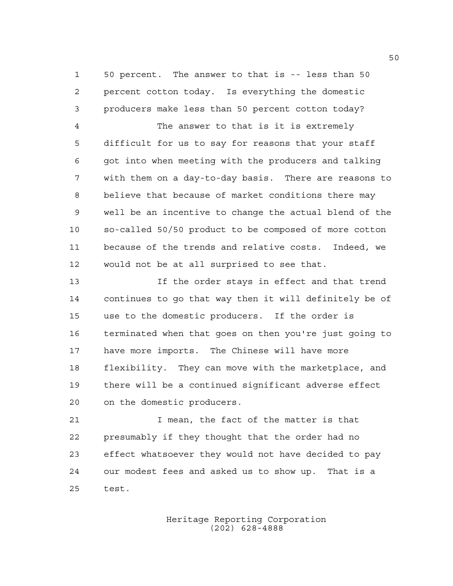50 percent. The answer to that is -- less than 50 percent cotton today. Is everything the domestic producers make less than 50 percent cotton today?

 The answer to that is it is extremely difficult for us to say for reasons that your staff got into when meeting with the producers and talking with them on a day-to-day basis. There are reasons to believe that because of market conditions there may well be an incentive to change the actual blend of the so-called 50/50 product to be composed of more cotton because of the trends and relative costs. Indeed, we would not be at all surprised to see that.

 If the order stays in effect and that trend continues to go that way then it will definitely be of use to the domestic producers. If the order is terminated when that goes on then you're just going to have more imports. The Chinese will have more flexibility. They can move with the marketplace, and there will be a continued significant adverse effect on the domestic producers.

 I mean, the fact of the matter is that presumably if they thought that the order had no effect whatsoever they would not have decided to pay our modest fees and asked us to show up. That is a test.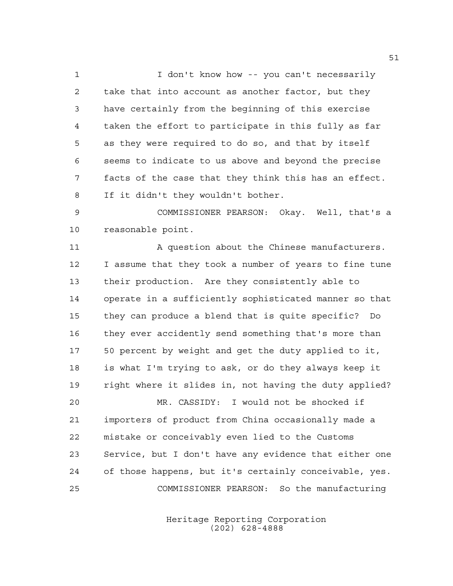1 I don't know how -- you can't necessarily take that into account as another factor, but they have certainly from the beginning of this exercise taken the effort to participate in this fully as far as they were required to do so, and that by itself seems to indicate to us above and beyond the precise facts of the case that they think this has an effect. If it didn't they wouldn't bother.

 COMMISSIONER PEARSON: Okay. Well, that's a reasonable point.

11 A question about the Chinese manufacturers. I assume that they took a number of years to fine tune their production. Are they consistently able to operate in a sufficiently sophisticated manner so that they can produce a blend that is quite specific? Do they ever accidently send something that's more than 50 percent by weight and get the duty applied to it, is what I'm trying to ask, or do they always keep it right where it slides in, not having the duty applied? MR. CASSIDY: I would not be shocked if

 importers of product from China occasionally made a mistake or conceivably even lied to the Customs Service, but I don't have any evidence that either one of those happens, but it's certainly conceivable, yes. COMMISSIONER PEARSON: So the manufacturing

> Heritage Reporting Corporation (202) 628-4888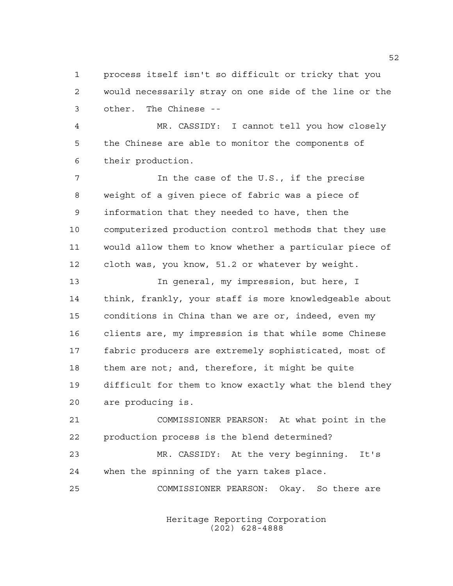process itself isn't so difficult or tricky that you would necessarily stray on one side of the line or the other. The Chinese --

 MR. CASSIDY: I cannot tell you how closely the Chinese are able to monitor the components of their production.

 In the case of the U.S., if the precise weight of a given piece of fabric was a piece of information that they needed to have, then the computerized production control methods that they use would allow them to know whether a particular piece of cloth was, you know, 51.2 or whatever by weight.

 In general, my impression, but here, I think, frankly, your staff is more knowledgeable about conditions in China than we are or, indeed, even my clients are, my impression is that while some Chinese fabric producers are extremely sophisticated, most of them are not; and, therefore, it might be quite difficult for them to know exactly what the blend they are producing is.

 COMMISSIONER PEARSON: At what point in the production process is the blend determined?

 MR. CASSIDY: At the very beginning. It's when the spinning of the yarn takes place.

COMMISSIONER PEARSON: Okay. So there are

Heritage Reporting Corporation (202) 628-4888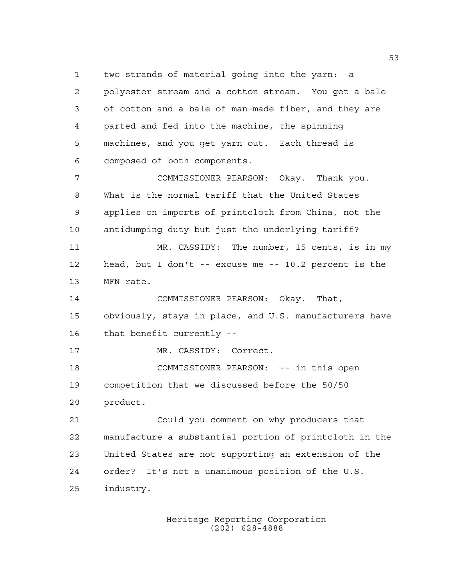two strands of material going into the yarn: a polyester stream and a cotton stream. You get a bale of cotton and a bale of man-made fiber, and they are parted and fed into the machine, the spinning machines, and you get yarn out. Each thread is composed of both components. COMMISSIONER PEARSON: Okay. Thank you. What is the normal tariff that the United States applies on imports of printcloth from China, not the antidumping duty but just the underlying tariff? MR. CASSIDY: The number, 15 cents, is in my head, but I don't -- excuse me -- 10.2 percent is the MFN rate. COMMISSIONER PEARSON: Okay. That, obviously, stays in place, and U.S. manufacturers have that benefit currently -- 17 MR. CASSIDY: Correct. COMMISSIONER PEARSON: -- in this open competition that we discussed before the 50/50 product. Could you comment on why producers that manufacture a substantial portion of printcloth in the United States are not supporting an extension of the

order? It's not a unanimous position of the U.S.

industry.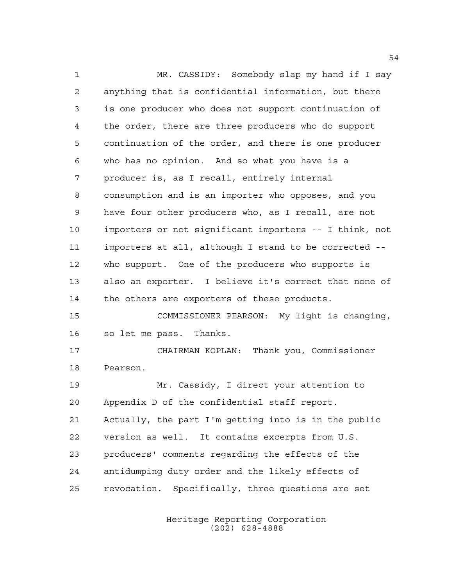MR. CASSIDY: Somebody slap my hand if I say anything that is confidential information, but there is one producer who does not support continuation of the order, there are three producers who do support continuation of the order, and there is one producer who has no opinion. And so what you have is a producer is, as I recall, entirely internal consumption and is an importer who opposes, and you have four other producers who, as I recall, are not importers or not significant importers -- I think, not importers at all, although I stand to be corrected -- who support. One of the producers who supports is also an exporter. I believe it's correct that none of the others are exporters of these products. COMMISSIONER PEARSON: My light is changing, so let me pass. Thanks. CHAIRMAN KOPLAN: Thank you, Commissioner Pearson. Mr. Cassidy, I direct your attention to Appendix D of the confidential staff report. Actually, the part I'm getting into is in the public version as well. It contains excerpts from U.S. producers' comments regarding the effects of the antidumping duty order and the likely effects of revocation. Specifically, three questions are set

> Heritage Reporting Corporation (202) 628-4888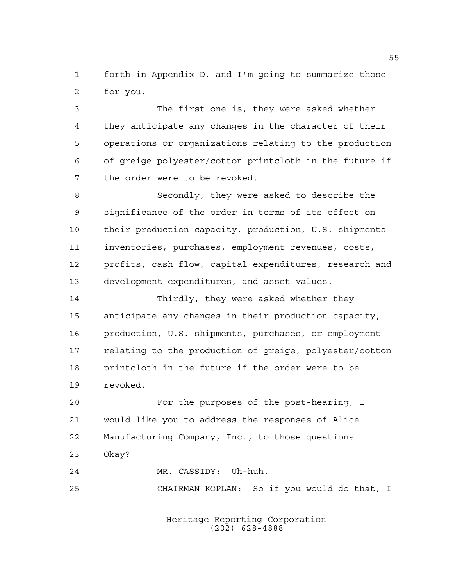forth in Appendix D, and I'm going to summarize those for you.

 The first one is, they were asked whether they anticipate any changes in the character of their operations or organizations relating to the production of greige polyester/cotton printcloth in the future if the order were to be revoked.

 Secondly, they were asked to describe the significance of the order in terms of its effect on their production capacity, production, U.S. shipments inventories, purchases, employment revenues, costs, profits, cash flow, capital expenditures, research and development expenditures, and asset values.

 Thirdly, they were asked whether they anticipate any changes in their production capacity, production, U.S. shipments, purchases, or employment relating to the production of greige, polyester/cotton printcloth in the future if the order were to be revoked.

 For the purposes of the post-hearing, I would like you to address the responses of Alice Manufacturing Company, Inc., to those questions. Okay?

MR. CASSIDY: Uh-huh.

CHAIRMAN KOPLAN: So if you would do that, I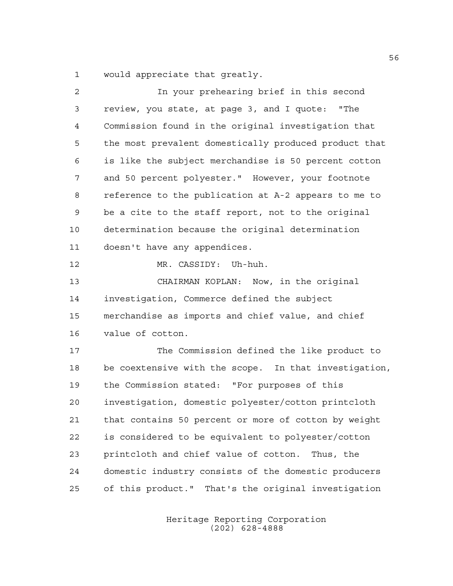would appreciate that greatly.

| 2  | In your prehearing brief in this second               |
|----|-------------------------------------------------------|
| 3  | review, you state, at page 3, and I quote: "The       |
| 4  | Commission found in the original investigation that   |
| 5  | the most prevalent domestically produced product that |
| 6  | is like the subject merchandise is 50 percent cotton  |
| 7  | and 50 percent polyester." However, your footnote     |
| 8  | reference to the publication at A-2 appears to me to  |
| 9  | be a cite to the staff report, not to the original    |
| 10 | determination because the original determination      |
| 11 | doesn't have any appendices.                          |
| 12 | MR. CASSIDY: Uh-huh.                                  |
| 13 | CHAIRMAN KOPLAN: Now, in the original                 |
| 14 | investigation, Commerce defined the subject           |
| 15 | merchandise as imports and chief value, and chief     |
| 16 | value of cotton.                                      |
| 17 | The Commission defined the like product to            |
| 18 | be coextensive with the scope. In that investigation, |
| 19 | the Commission stated: "For purposes of this          |
| 20 | investigation, domestic polyester/cotton printcloth   |
| 21 | that contains 50 percent or more of cotton by weight  |
| 22 | is considered to be equivalent to polyester/cotton    |
| 23 | printcloth and chief value of cotton. Thus, the       |
| 24 | domestic industry consists of the domestic producers  |
| 25 | of this product." That's the original investigation   |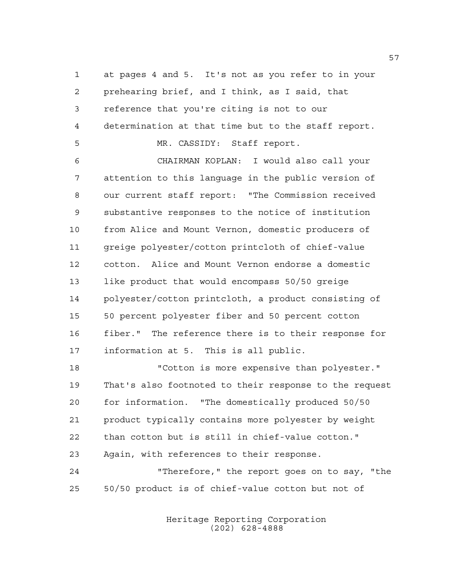at pages 4 and 5. It's not as you refer to in your prehearing brief, and I think, as I said, that reference that you're citing is not to our determination at that time but to the staff report. MR. CASSIDY: Staff report.

 CHAIRMAN KOPLAN: I would also call your attention to this language in the public version of our current staff report: "The Commission received substantive responses to the notice of institution from Alice and Mount Vernon, domestic producers of greige polyester/cotton printcloth of chief-value cotton. Alice and Mount Vernon endorse a domestic like product that would encompass 50/50 greige polyester/cotton printcloth, a product consisting of 50 percent polyester fiber and 50 percent cotton fiber." The reference there is to their response for information at 5. This is all public.

 "Cotton is more expensive than polyester." That's also footnoted to their response to the request for information. "The domestically produced 50/50 product typically contains more polyester by weight than cotton but is still in chief-value cotton." Again, with references to their response. "Therefore," the report goes on to say, "the

50/50 product is of chief-value cotton but not of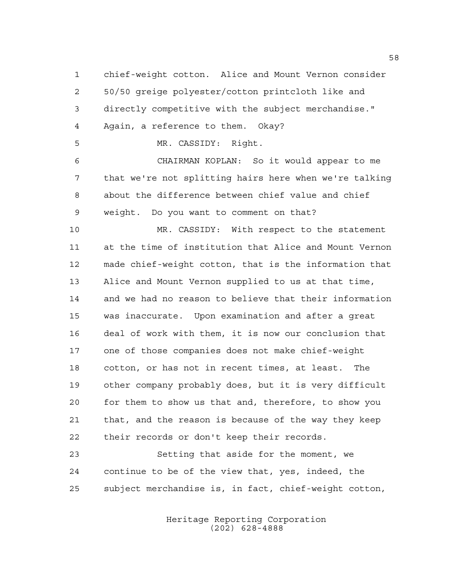chief-weight cotton. Alice and Mount Vernon consider 50/50 greige polyester/cotton printcloth like and directly competitive with the subject merchandise." Again, a reference to them. Okay?

MR. CASSIDY: Right.

 CHAIRMAN KOPLAN: So it would appear to me that we're not splitting hairs here when we're talking about the difference between chief value and chief weight. Do you want to comment on that?

 MR. CASSIDY: With respect to the statement at the time of institution that Alice and Mount Vernon made chief-weight cotton, that is the information that Alice and Mount Vernon supplied to us at that time, and we had no reason to believe that their information was inaccurate. Upon examination and after a great deal of work with them, it is now our conclusion that one of those companies does not make chief-weight cotton, or has not in recent times, at least. The other company probably does, but it is very difficult for them to show us that and, therefore, to show you that, and the reason is because of the way they keep their records or don't keep their records.

 Setting that aside for the moment, we continue to be of the view that, yes, indeed, the subject merchandise is, in fact, chief-weight cotton,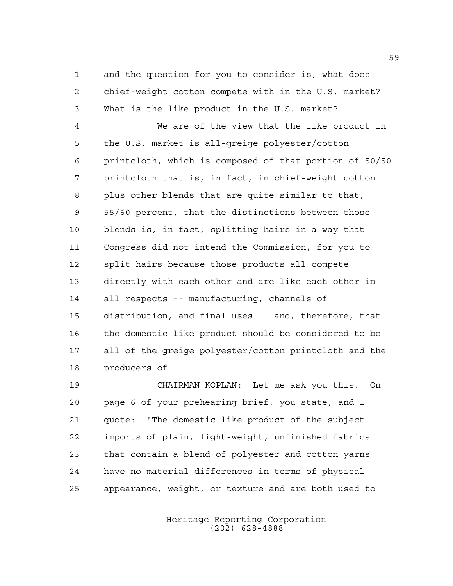and the question for you to consider is, what does chief-weight cotton compete with in the U.S. market? What is the like product in the U.S. market?

 We are of the view that the like product in the U.S. market is all-greige polyester/cotton printcloth, which is composed of that portion of 50/50 printcloth that is, in fact, in chief-weight cotton plus other blends that are quite similar to that, 55/60 percent, that the distinctions between those blends is, in fact, splitting hairs in a way that Congress did not intend the Commission, for you to split hairs because those products all compete directly with each other and are like each other in all respects -- manufacturing, channels of distribution, and final uses -- and, therefore, that the domestic like product should be considered to be all of the greige polyester/cotton printcloth and the producers of --

 CHAIRMAN KOPLAN: Let me ask you this. On page 6 of your prehearing brief, you state, and I quote: "The domestic like product of the subject imports of plain, light-weight, unfinished fabrics that contain a blend of polyester and cotton yarns have no material differences in terms of physical appearance, weight, or texture and are both used to

> Heritage Reporting Corporation (202) 628-4888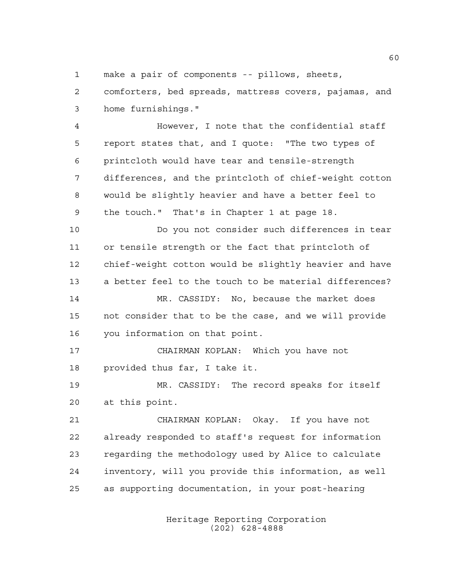make a pair of components -- pillows, sheets,

 comforters, bed spreads, mattress covers, pajamas, and home furnishings."

 However, I note that the confidential staff report states that, and I quote: "The two types of printcloth would have tear and tensile-strength differences, and the printcloth of chief-weight cotton would be slightly heavier and have a better feel to the touch." That's in Chapter 1 at page 18.

 Do you not consider such differences in tear or tensile strength or the fact that printcloth of chief-weight cotton would be slightly heavier and have a better feel to the touch to be material differences?

 MR. CASSIDY: No, because the market does not consider that to be the case, and we will provide you information on that point.

 CHAIRMAN KOPLAN: Which you have not provided thus far, I take it.

 MR. CASSIDY: The record speaks for itself at this point.

 CHAIRMAN KOPLAN: Okay. If you have not already responded to staff's request for information regarding the methodology used by Alice to calculate inventory, will you provide this information, as well as supporting documentation, in your post-hearing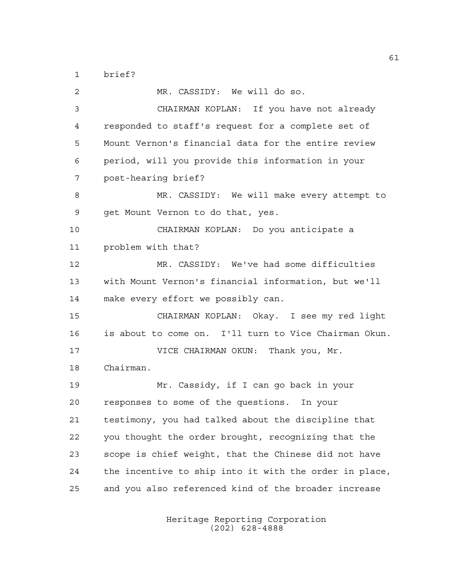brief?

 MR. CASSIDY: We will do so. CHAIRMAN KOPLAN: If you have not already responded to staff's request for a complete set of Mount Vernon's financial data for the entire review period, will you provide this information in your post-hearing brief? MR. CASSIDY: We will make every attempt to get Mount Vernon to do that, yes. CHAIRMAN KOPLAN: Do you anticipate a problem with that? MR. CASSIDY: We've had some difficulties with Mount Vernon's financial information, but we'll make every effort we possibly can. CHAIRMAN KOPLAN: Okay. I see my red light is about to come on. I'll turn to Vice Chairman Okun. 17 VICE CHAIRMAN OKUN: Thank you, Mr. Chairman. Mr. Cassidy, if I can go back in your responses to some of the questions. In your testimony, you had talked about the discipline that you thought the order brought, recognizing that the scope is chief weight, that the Chinese did not have the incentive to ship into it with the order in place, and you also referenced kind of the broader increase

> Heritage Reporting Corporation (202) 628-4888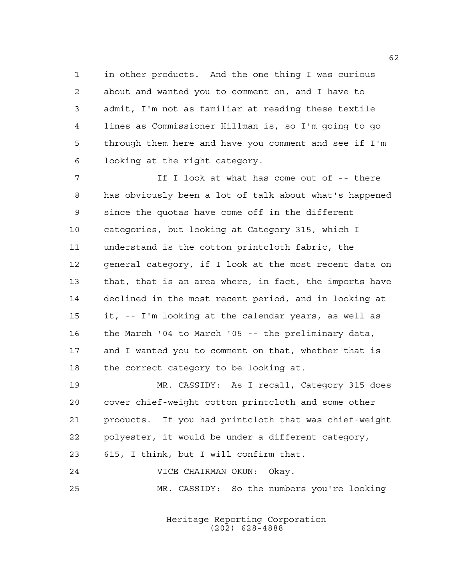in other products. And the one thing I was curious about and wanted you to comment on, and I have to admit, I'm not as familiar at reading these textile lines as Commissioner Hillman is, so I'm going to go through them here and have you comment and see if I'm looking at the right category.

7 The Indok at what has come out of  $-$ - there has obviously been a lot of talk about what's happened since the quotas have come off in the different categories, but looking at Category 315, which I understand is the cotton printcloth fabric, the general category, if I look at the most recent data on that, that is an area where, in fact, the imports have declined in the most recent period, and in looking at it, -- I'm looking at the calendar years, as well as the March '04 to March '05 -- the preliminary data, and I wanted you to comment on that, whether that is the correct category to be looking at.

 MR. CASSIDY: As I recall, Category 315 does cover chief-weight cotton printcloth and some other products. If you had printcloth that was chief-weight polyester, it would be under a different category, 615, I think, but I will confirm that.

VICE CHAIRMAN OKUN: Okay.

MR. CASSIDY: So the numbers you're looking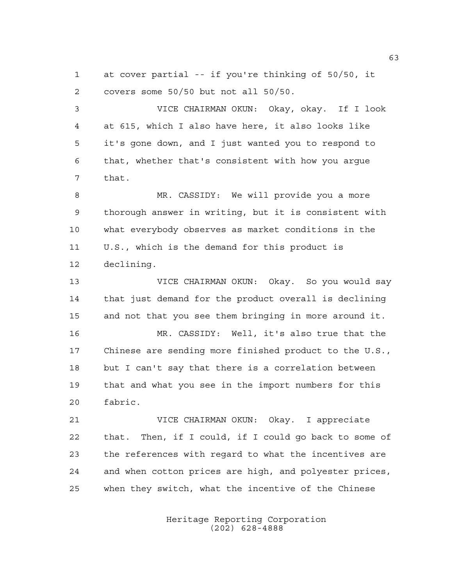at cover partial -- if you're thinking of 50/50, it covers some 50/50 but not all 50/50.

 VICE CHAIRMAN OKUN: Okay, okay. If I look at 615, which I also have here, it also looks like it's gone down, and I just wanted you to respond to that, whether that's consistent with how you argue that.

 MR. CASSIDY: We will provide you a more thorough answer in writing, but it is consistent with what everybody observes as market conditions in the U.S., which is the demand for this product is declining.

 VICE CHAIRMAN OKUN: Okay. So you would say that just demand for the product overall is declining and not that you see them bringing in more around it.

 MR. CASSIDY: Well, it's also true that the Chinese are sending more finished product to the U.S., but I can't say that there is a correlation between that and what you see in the import numbers for this fabric.

 VICE CHAIRMAN OKUN: Okay. I appreciate that. Then, if I could, if I could go back to some of the references with regard to what the incentives are and when cotton prices are high, and polyester prices, when they switch, what the incentive of the Chinese

> Heritage Reporting Corporation (202) 628-4888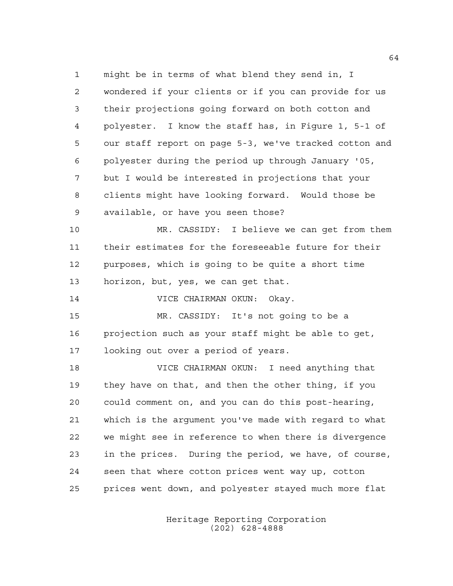might be in terms of what blend they send in, I wondered if your clients or if you can provide for us their projections going forward on both cotton and polyester. I know the staff has, in Figure 1, 5-1 of our staff report on page 5-3, we've tracked cotton and polyester during the period up through January '05, but I would be interested in projections that your clients might have looking forward. Would those be available, or have you seen those?

 MR. CASSIDY: I believe we can get from them their estimates for the foreseeable future for their purposes, which is going to be quite a short time horizon, but, yes, we can get that.

VICE CHAIRMAN OKUN: Okay.

 MR. CASSIDY: It's not going to be a projection such as your staff might be able to get, looking out over a period of years.

 VICE CHAIRMAN OKUN: I need anything that they have on that, and then the other thing, if you could comment on, and you can do this post-hearing, which is the argument you've made with regard to what we might see in reference to when there is divergence in the prices. During the period, we have, of course, seen that where cotton prices went way up, cotton prices went down, and polyester stayed much more flat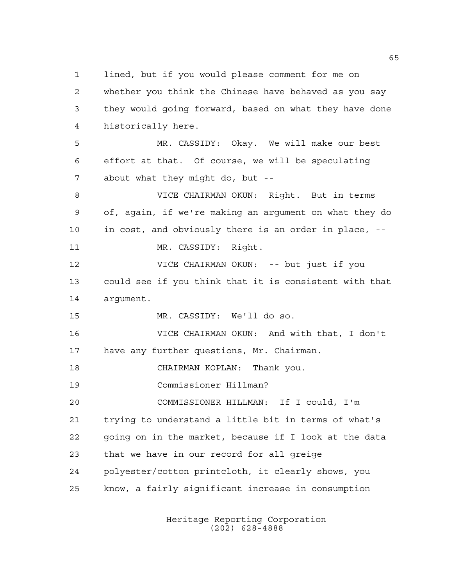lined, but if you would please comment for me on whether you think the Chinese have behaved as you say they would going forward, based on what they have done historically here. MR. CASSIDY: Okay. We will make our best effort at that. Of course, we will be speculating about what they might do, but -- VICE CHAIRMAN OKUN: Right. But in terms of, again, if we're making an argument on what they do in cost, and obviously there is an order in place, -- MR. CASSIDY: Right. VICE CHAIRMAN OKUN: -- but just if you could see if you think that it is consistent with that argument. MR. CASSIDY: We'll do so. VICE CHAIRMAN OKUN: And with that, I don't have any further questions, Mr. Chairman. CHAIRMAN KOPLAN: Thank you. Commissioner Hillman? COMMISSIONER HILLMAN: If I could, I'm trying to understand a little bit in terms of what's going on in the market, because if I look at the data that we have in our record for all greige polyester/cotton printcloth, it clearly shows, you know, a fairly significant increase in consumption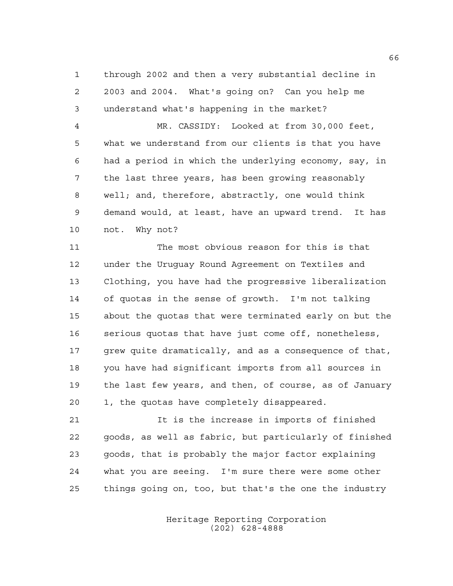through 2002 and then a very substantial decline in 2003 and 2004. What's going on? Can you help me understand what's happening in the market?

 MR. CASSIDY: Looked at from 30,000 feet, what we understand from our clients is that you have had a period in which the underlying economy, say, in the last three years, has been growing reasonably well; and, therefore, abstractly, one would think demand would, at least, have an upward trend. It has not. Why not?

 The most obvious reason for this is that under the Uruguay Round Agreement on Textiles and Clothing, you have had the progressive liberalization of quotas in the sense of growth. I'm not talking about the quotas that were terminated early on but the serious quotas that have just come off, nonetheless, grew quite dramatically, and as a consequence of that, you have had significant imports from all sources in the last few years, and then, of course, as of January 1, the quotas have completely disappeared.

 It is the increase in imports of finished goods, as well as fabric, but particularly of finished goods, that is probably the major factor explaining what you are seeing. I'm sure there were some other things going on, too, but that's the one the industry

> Heritage Reporting Corporation (202) 628-4888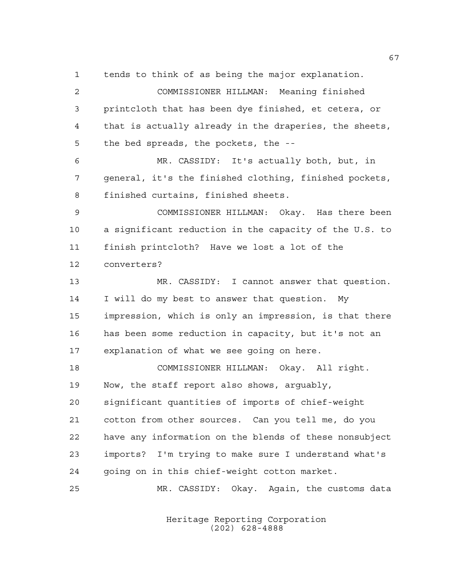tends to think of as being the major explanation.

 COMMISSIONER HILLMAN: Meaning finished printcloth that has been dye finished, et cetera, or that is actually already in the draperies, the sheets, the bed spreads, the pockets, the -- MR. CASSIDY: It's actually both, but, in general, it's the finished clothing, finished pockets, finished curtains, finished sheets. COMMISSIONER HILLMAN: Okay. Has there been a significant reduction in the capacity of the U.S. to finish printcloth? Have we lost a lot of the converters? MR. CASSIDY: I cannot answer that question. I will do my best to answer that question. My impression, which is only an impression, is that there has been some reduction in capacity, but it's not an explanation of what we see going on here. COMMISSIONER HILLMAN: Okay. All right. Now, the staff report also shows, arguably, significant quantities of imports of chief-weight cotton from other sources. Can you tell me, do you have any information on the blends of these nonsubject imports? I'm trying to make sure I understand what's going on in this chief-weight cotton market.

MR. CASSIDY: Okay. Again, the customs data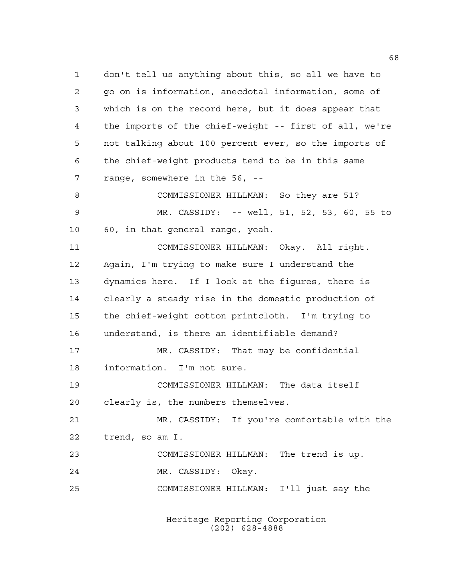don't tell us anything about this, so all we have to go on is information, anecdotal information, some of which is on the record here, but it does appear that the imports of the chief-weight -- first of all, we're not talking about 100 percent ever, so the imports of the chief-weight products tend to be in this same range, somewhere in the 56, -- COMMISSIONER HILLMAN: So they are 51? MR. CASSIDY: -- well, 51, 52, 53, 60, 55 to 60, in that general range, yeah. COMMISSIONER HILLMAN: Okay. All right. Again, I'm trying to make sure I understand the dynamics here. If I look at the figures, there is clearly a steady rise in the domestic production of the chief-weight cotton printcloth. I'm trying to understand, is there an identifiable demand? MR. CASSIDY: That may be confidential information. I'm not sure. COMMISSIONER HILLMAN: The data itself clearly is, the numbers themselves. MR. CASSIDY: If you're comfortable with the trend, so am I. COMMISSIONER HILLMAN: The trend is up. MR. CASSIDY: Okay. COMMISSIONER HILLMAN: I'll just say the

> Heritage Reporting Corporation (202) 628-4888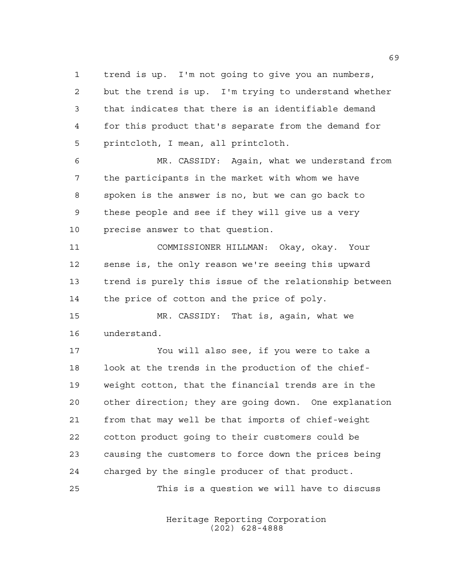trend is up. I'm not going to give you an numbers, but the trend is up. I'm trying to understand whether that indicates that there is an identifiable demand for this product that's separate from the demand for printcloth, I mean, all printcloth.

 MR. CASSIDY: Again, what we understand from the participants in the market with whom we have spoken is the answer is no, but we can go back to these people and see if they will give us a very precise answer to that question.

 COMMISSIONER HILLMAN: Okay, okay. Your sense is, the only reason we're seeing this upward trend is purely this issue of the relationship between 14 the price of cotton and the price of poly.

 MR. CASSIDY: That is, again, what we understand.

 You will also see, if you were to take a look at the trends in the production of the chief- weight cotton, that the financial trends are in the other direction; they are going down. One explanation from that may well be that imports of chief-weight cotton product going to their customers could be causing the customers to force down the prices being charged by the single producer of that product. This is a question we will have to discuss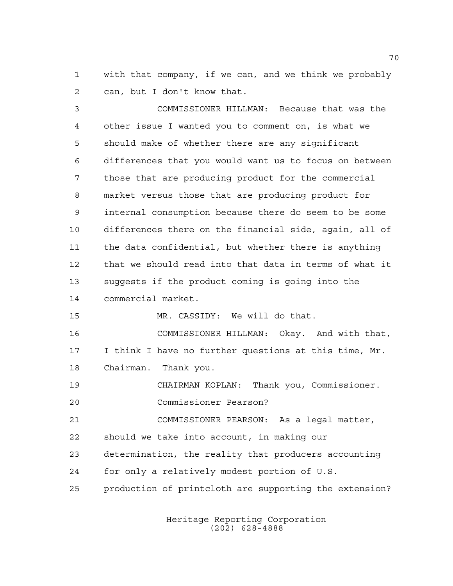with that company, if we can, and we think we probably can, but I don't know that.

 COMMISSIONER HILLMAN: Because that was the other issue I wanted you to comment on, is what we should make of whether there are any significant differences that you would want us to focus on between those that are producing product for the commercial market versus those that are producing product for internal consumption because there do seem to be some differences there on the financial side, again, all of the data confidential, but whether there is anything that we should read into that data in terms of what it suggests if the product coming is going into the commercial market. MR. CASSIDY: We will do that. COMMISSIONER HILLMAN: Okay. And with that, I think I have no further questions at this time, Mr. Chairman. Thank you.

CHAIRMAN KOPLAN: Thank you, Commissioner.

Commissioner Pearson?

 COMMISSIONER PEARSON: As a legal matter, should we take into account, in making our

determination, the reality that producers accounting

for only a relatively modest portion of U.S.

production of printcloth are supporting the extension?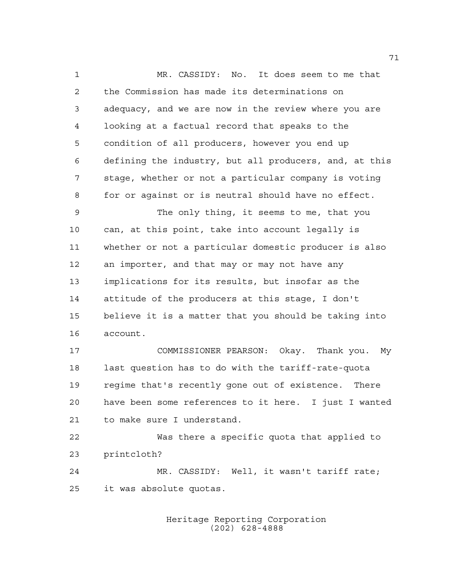MR. CASSIDY: No. It does seem to me that the Commission has made its determinations on adequacy, and we are now in the review where you are looking at a factual record that speaks to the condition of all producers, however you end up defining the industry, but all producers, and, at this stage, whether or not a particular company is voting for or against or is neutral should have no effect. The only thing, it seems to me, that you can, at this point, take into account legally is whether or not a particular domestic producer is also an importer, and that may or may not have any implications for its results, but insofar as the attitude of the producers at this stage, I don't believe it is a matter that you should be taking into account. COMMISSIONER PEARSON: Okay. Thank you. My last question has to do with the tariff-rate-quota regime that's recently gone out of existence. There have been some references to it here. I just I wanted to make sure I understand. Was there a specific quota that applied to printcloth? MR. CASSIDY: Well, it wasn't tariff rate; it was absolute quotas.

> Heritage Reporting Corporation (202) 628-4888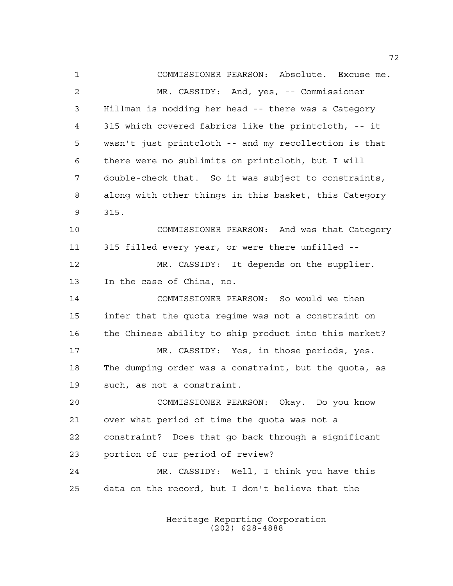COMMISSIONER PEARSON: Absolute. Excuse me. MR. CASSIDY: And, yes, -- Commissioner Hillman is nodding her head -- there was a Category 315 which covered fabrics like the printcloth, -- it wasn't just printcloth -- and my recollection is that there were no sublimits on printcloth, but I will double-check that. So it was subject to constraints, along with other things in this basket, this Category 315. COMMISSIONER PEARSON: And was that Category 315 filled every year, or were there unfilled -- 12 MR. CASSIDY: It depends on the supplier. In the case of China, no. COMMISSIONER PEARSON: So would we then infer that the quota regime was not a constraint on the Chinese ability to ship product into this market? MR. CASSIDY: Yes, in those periods, yes. The dumping order was a constraint, but the quota, as such, as not a constraint. COMMISSIONER PEARSON: Okay. Do you know over what period of time the quota was not a constraint? Does that go back through a significant portion of our period of review? MR. CASSIDY: Well, I think you have this data on the record, but I don't believe that the

> Heritage Reporting Corporation (202) 628-4888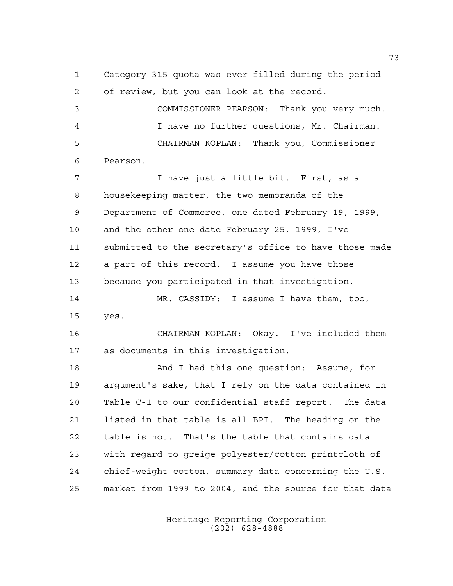Category 315 quota was ever filled during the period of review, but you can look at the record. COMMISSIONER PEARSON: Thank you very much. I have no further questions, Mr. Chairman. CHAIRMAN KOPLAN: Thank you, Commissioner Pearson. I have just a little bit. First, as a housekeeping matter, the two memoranda of the Department of Commerce, one dated February 19, 1999, and the other one date February 25, 1999, I've submitted to the secretary's office to have those made a part of this record. I assume you have those because you participated in that investigation. MR. CASSIDY: I assume I have them, too, yes. CHAIRMAN KOPLAN: Okay. I've included them as documents in this investigation. And I had this one question: Assume, for argument's sake, that I rely on the data contained in Table C-1 to our confidential staff report. The data listed in that table is all BPI. The heading on the table is not. That's the table that contains data with regard to greige polyester/cotton printcloth of chief-weight cotton, summary data concerning the U.S. market from 1999 to 2004, and the source for that data

> Heritage Reporting Corporation (202) 628-4888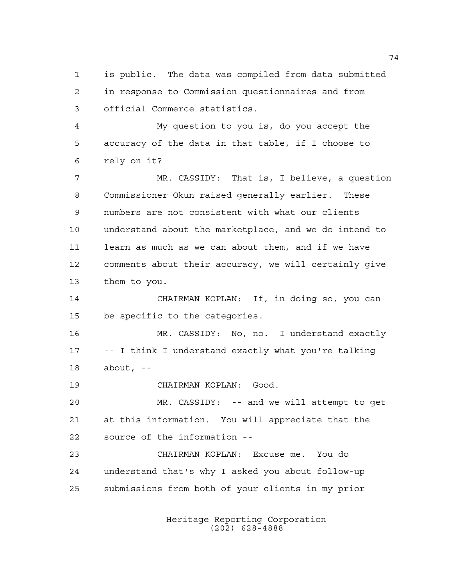is public. The data was compiled from data submitted in response to Commission questionnaires and from official Commerce statistics.

 My question to you is, do you accept the accuracy of the data in that table, if I choose to rely on it?

 MR. CASSIDY: That is, I believe, a question Commissioner Okun raised generally earlier. These numbers are not consistent with what our clients understand about the marketplace, and we do intend to learn as much as we can about them, and if we have comments about their accuracy, we will certainly give them to you.

 CHAIRMAN KOPLAN: If, in doing so, you can be specific to the categories.

 MR. CASSIDY: No, no. I understand exactly -- I think I understand exactly what you're talking about, --

CHAIRMAN KOPLAN: Good.

 MR. CASSIDY: -- and we will attempt to get at this information. You will appreciate that the source of the information --

 CHAIRMAN KOPLAN: Excuse me. You do understand that's why I asked you about follow-up submissions from both of your clients in my prior

> Heritage Reporting Corporation (202) 628-4888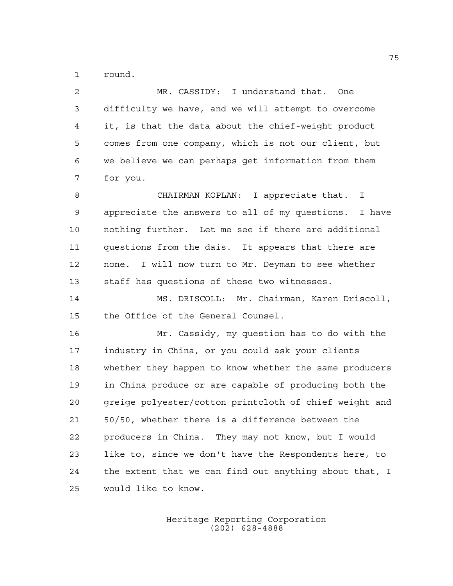round.

| $\overline{a}$ | MR. CASSIDY: I understand that. One                    |
|----------------|--------------------------------------------------------|
| 3              | difficulty we have, and we will attempt to overcome    |
| 4              | it, is that the data about the chief-weight product    |
| 5              | comes from one company, which is not our client, but   |
| 6              | we believe we can perhaps get information from them    |
| 7              | for you.                                               |
| 8              | CHAIRMAN KOPLAN: I appreciate that. I                  |
| 9              | appreciate the answers to all of my questions. I have  |
| 10             | nothing further. Let me see if there are additional    |
| 11             | questions from the dais. It appears that there are     |
| 12             | none. I will now turn to Mr. Deyman to see whether     |
| 13             | staff has questions of these two witnesses.            |
| 14             | MS. DRISCOLL: Mr. Chairman, Karen Driscoll,            |
| 15             | the Office of the General Counsel.                     |
| 16             | Mr. Cassidy, my question has to do with the            |
| 17             | industry in China, or you could ask your clients       |
| 18             | whether they happen to know whether the same producers |
| 19             | in China produce or are capable of producing both the  |
| 20             | greige polyester/cotton printcloth of chief weight and |
| 21             | 50/50, whether there is a difference between the       |
| 22             | producers in China. They may not know, but I would     |
| 23             | like to, since we don't have the Respondents here, to  |
| 24             | the extent that we can find out anything about that, I |
| 25             | would like to know.                                    |

Heritage Reporting Corporation (202) 628-4888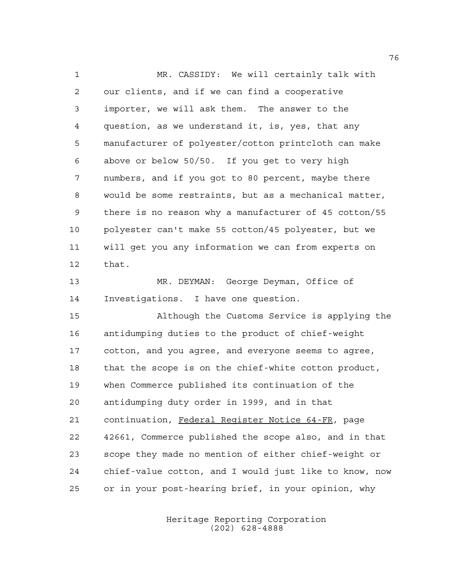MR. CASSIDY: We will certainly talk with our clients, and if we can find a cooperative importer, we will ask them. The answer to the question, as we understand it, is, yes, that any manufacturer of polyester/cotton printcloth can make above or below 50/50. If you get to very high numbers, and if you got to 80 percent, maybe there would be some restraints, but as a mechanical matter, there is no reason why a manufacturer of 45 cotton/55 polyester can't make 55 cotton/45 polyester, but we will get you any information we can from experts on that.

 MR. DEYMAN: George Deyman, Office of Investigations. I have one question.

 Although the Customs Service is applying the antidumping duties to the product of chief-weight cotton, and you agree, and everyone seems to agree, that the scope is on the chief-white cotton product, when Commerce published its continuation of the antidumping duty order in 1999, and in that continuation, Federal Register Notice 64-FR, page 42661, Commerce published the scope also, and in that scope they made no mention of either chief-weight or chief-value cotton, and I would just like to know, now or in your post-hearing brief, in your opinion, why

> Heritage Reporting Corporation (202) 628-4888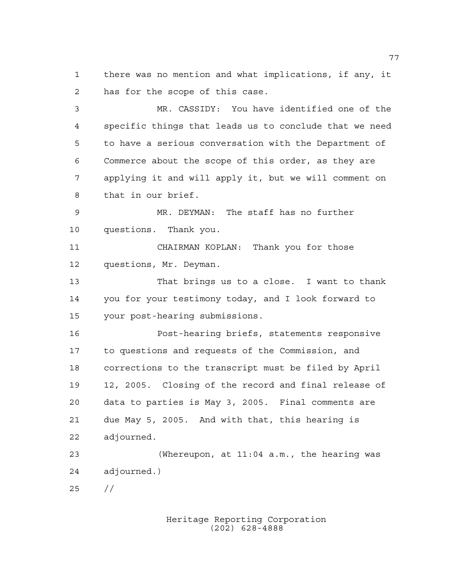there was no mention and what implications, if any, it has for the scope of this case.

 MR. CASSIDY: You have identified one of the specific things that leads us to conclude that we need to have a serious conversation with the Department of Commerce about the scope of this order, as they are applying it and will apply it, but we will comment on that in our brief. MR. DEYMAN: The staff has no further questions. Thank you. CHAIRMAN KOPLAN: Thank you for those questions, Mr. Deyman. That brings us to a close. I want to thank you for your testimony today, and I look forward to your post-hearing submissions. Post-hearing briefs, statements responsive to questions and requests of the Commission, and corrections to the transcript must be filed by April 12, 2005. Closing of the record and final release of data to parties is May 3, 2005. Final comments are due May 5, 2005. And with that, this hearing is adjourned. (Whereupon, at 11:04 a.m., the hearing was

adjourned.)

 $25 / /$ 

Heritage Reporting Corporation (202) 628-4888